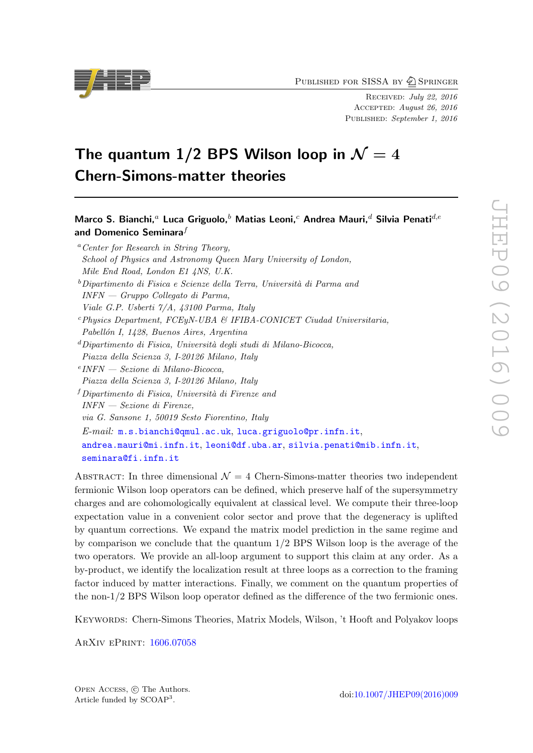PUBLISHED FOR SISSA BY 2 SPRINGER

Received: July 22, 2016 Accepted: August 26, 2016 PUBLISHED: September 1, 2016

# The quantum 1/2 BPS Wilson loop in  $\mathcal{N}=4$ Chern-Simons-matter theories

Marco S. Bianchi,<sup>a</sup> Luca Griguolo,<sup>b</sup> Matias Leoni,<sup>c</sup> Andrea Mauri,<sup>d</sup> Silvia Penati<sup>d,e</sup> and Domenico Seminara $^f$ <sup>a</sup> Center for Research in String Theory,

School of Physics and Astronomy Queen Mary University of London, Mile End Road, London E1 4NS, U.K.  $b$ Dipartimento di Fisica e Scienze della Terra, Università di Parma and INFN — Gruppo Collegato di Parma, Viale G.P. Usberti 7/A, 43100 Parma, Italy  $c$ Physics Department, FCEyN-UBA & IFIBA-CONICET Ciudad Universitaria, Pabellón I, 1428, Buenos Aires, Argentina  $d$ Dipartimento di Fisica, Università degli studi di Milano-Bicocca, Piazza della Scienza 3, I-20126 Milano, Italy e INFN — Sezione di Milano-Bicocca, Piazza della Scienza 3, I-20126 Milano, Italy  $f$ Dipartimento di Fisica, Università di Firenze and INFN — Sezione di Firenze, via G. Sansone 1, 50019 Sesto Fiorentino, Italy E-mail: [m.s.bianchi@qmul.ac.uk](mailto:m.s.bianchi@qmul.ac.uk), [luca.griguolo@pr.infn.it](mailto:luca.griguolo@pr.infn.it), [andrea.mauri@mi.infn.it](mailto:andrea.mauri@mi.infn.it), [leoni@df.uba.ar](mailto:leoni@df.uba.ar), [silvia.penati@mib.infn.it](mailto:silvia.penati@mib.infn.it), [seminara@fi.infn.it](mailto:seminara@fi.infn.it)

ABSTRACT: In three dimensional  $\mathcal{N} = 4$  Chern-Simons-matter theories two independent fermionic Wilson loop operators can be defined, which preserve half of the supersymmetry charges and are cohomologically equivalent at classical level. We compute their three-loop expectation value in a convenient color sector and prove that the degeneracy is uplifted by quantum corrections. We expand the matrix model prediction in the same regime and by comparison we conclude that the quantum 1/2 BPS Wilson loop is the average of the two operators. We provide an all-loop argument to support this claim at any order. As a by-product, we identify the localization result at three loops as a correction to the framing factor induced by matter interactions. Finally, we comment on the quantum properties of the non-1/2 BPS Wilson loop operator defined as the difference of the two fermionic ones.

Keywords: Chern-Simons Theories, Matrix Models, Wilson, 't Hooft and Polyakov loops

ArXiv ePrint: [1606.07058](http://arxiv.org/abs/1606.07058)



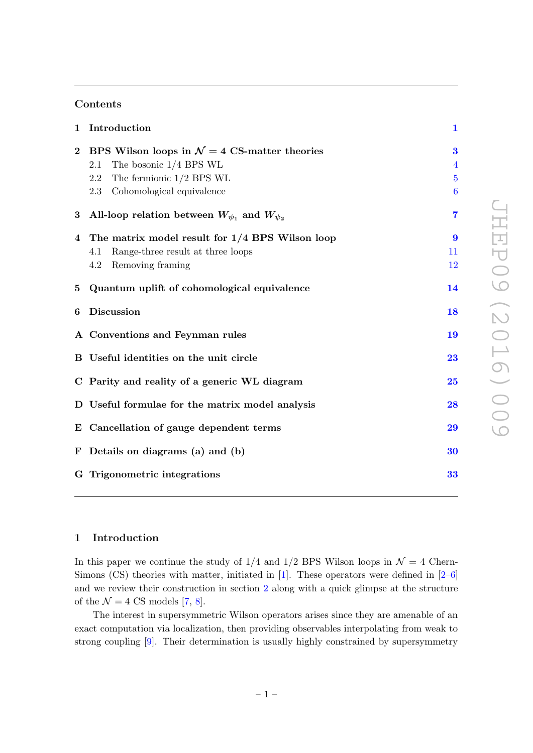## Contents

|                 | 1 Introduction                                                                                                                 | $\mathbf{1}$                                 |
|-----------------|--------------------------------------------------------------------------------------------------------------------------------|----------------------------------------------|
| $\overline{2}$  | BPS Wilson loops in $\mathcal{N}=4$ CS-matter theories<br>The bosonic $1/4$ BPS WL<br>2.1<br>The fermionic $1/2$ BPS WL<br>2.2 | $\bf{3}$<br>$\overline{4}$<br>$\overline{5}$ |
|                 | 2.3 Cohomological equivalence                                                                                                  | $6\phantom{.}6$                              |
| $\bf{3}$        | All-loop relation between $W_{\psi_1}$ and $W_{\psi_2}$                                                                        | $\overline{7}$                               |
|                 | 4 The matrix model result for 1/4 BPS Wilson loop<br>Range-three result at three loops<br>4.1<br>$4.2\,$<br>Removing framing   | 9<br>11<br>12                                |
| $5\phantom{.0}$ | Quantum uplift of cohomological equivalence                                                                                    | 14                                           |
| 6               | Discussion                                                                                                                     | 18                                           |
|                 | A Conventions and Feynman rules                                                                                                | 19                                           |
|                 | B Useful identities on the unit circle                                                                                         | 23                                           |
|                 | C Parity and reality of a generic WL diagram                                                                                   | 25                                           |
|                 | D Useful formulae for the matrix model analysis                                                                                | 28                                           |
|                 | E Cancellation of gauge dependent terms                                                                                        | 29                                           |
|                 | F Details on diagrams (a) and (b)                                                                                              | 30                                           |
|                 | G Trigonometric integrations                                                                                                   | 33                                           |
|                 |                                                                                                                                |                                              |

## <span id="page-1-0"></span>1 Introduction

In this paper we continue the study of  $1/4$  and  $1/2$  BPS Wilson loops in  $\mathcal{N}=4$  Chern-Simons (CS) theories with matter, initiated in  $[1]$ . These operators were defined in  $[2-6]$ and we review their construction in section [2](#page-3-0) along with a quick glimpse at the structure of the  $\mathcal{N} = 4$  CS models [\[7,](#page-35-0) [8\]](#page-35-1).

The interest in supersymmetric Wilson operators arises since they are amenable of an exact computation via localization, then providing observables interpolating from weak to strong coupling [\[9\]](#page-35-2). Their determination is usually highly constrained by supersymmetry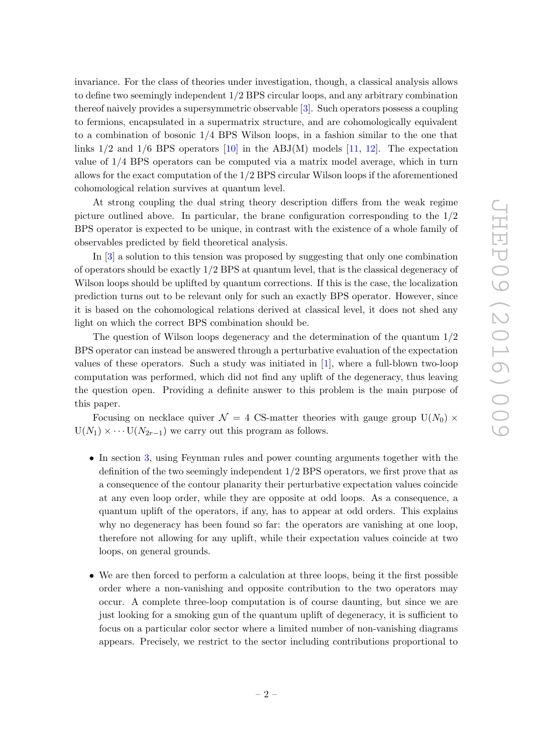invariance. For the class of theories under investigation, though, a classical analysis allows to define two seemingly independent 1/2 BPS circular loops, and any arbitrary combination thereof naively provides a supersymmetric observable [\[3\]](#page-34-3). Such operators possess a coupling to fermions, encapsulated in a supermatrix structure, and are cohomologically equivalent to a combination of bosonic 1/4 BPS Wilson loops, in a fashion similar to the one that links  $1/2$  and  $1/6$  BPS operators  $[10]$  in the ABJ(M) models  $[11, 12]$  $[11, 12]$ . The expectation value of 1/4 BPS operators can be computed via a matrix model average, which in turn allows for the exact computation of the 1/2 BPS circular Wilson loops if the aforementioned cohomological relation survives at quantum level.

At strong coupling the dual string theory description differs from the weak regime picture outlined above. In particular, the brane configuration corresponding to the 1/2 BPS operator is expected to be unique, in contrast with the existence of a whole family of observables predicted by field theoretical analysis.

In [\[3\]](#page-34-3) a solution to this tension was proposed by suggesting that only one combination of operators should be exactly 1/2 BPS at quantum level, that is the classical degeneracy of Wilson loops should be uplifted by quantum corrections. If this is the case, the localization prediction turns out to be relevant only for such an exactly BPS operator. However, since it is based on the cohomological relations derived at classical level, it does not shed any light on which the correct BPS combination should be.

The question of Wilson loops degeneracy and the determination of the quantum  $1/2$ BPS operator can instead be answered through a perturbative evaluation of the expectation values of these operators. Such a study was initiated in [\[1\]](#page-34-0), where a full-blown two-loop computation was performed, which did not find any uplift of the degeneracy, thus leaving the question open. Providing a definite answer to this problem is the main purpose of this paper.

Focusing on necklace quiver  $\mathcal{N} = 4$  CS-matter theories with gauge group  $U(N_0) \times$  $U(N_1) \times \cdots U(N_{2r-1})$  we carry out this program as follows.

- In section [3,](#page-7-0) using Feynman rules and power counting arguments together with the definition of the two seemingly independent 1/2 BPS operators, we first prove that as a consequence of the contour planarity their perturbative expectation values coincide at any even loop order, while they are opposite at odd loops. As a consequence, a quantum uplift of the operators, if any, has to appear at odd orders. This explains why no degeneracy has been found so far: the operators are vanishing at one loop, therefore not allowing for any uplift, while their expectation values coincide at two loops, on general grounds.
- We are then forced to perform a calculation at three loops, being it the first possible order where a non-vanishing and opposite contribution to the two operators may occur. A complete three-loop computation is of course daunting, but since we are just looking for a smoking gun of the quantum uplift of degeneracy, it is sufficient to focus on a particular color sector where a limited number of non-vanishing diagrams appears. Precisely, we restrict to the sector including contributions proportional to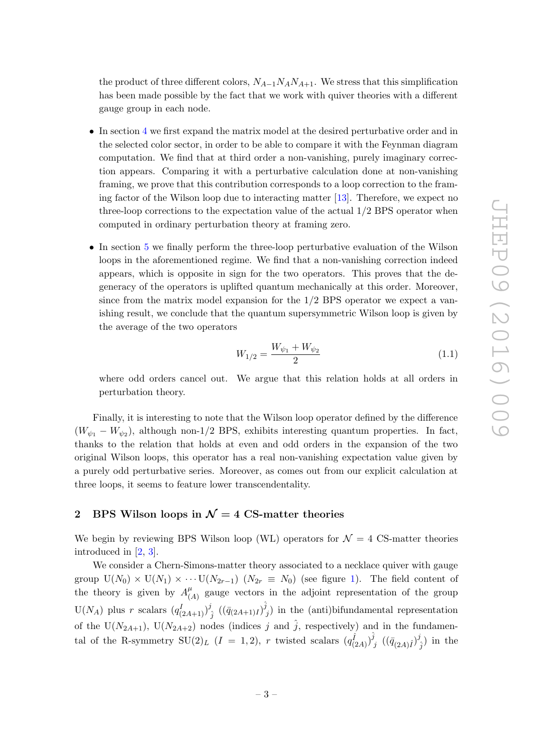the product of three different colors,  $N_{A-1}N_A N_{A+1}$ . We stress that this simplification has been made possible by the fact that we work with quiver theories with a different gauge group in each node.

- In section [4](#page-9-0) we first expand the matrix model at the desired perturbative order and in the selected color sector, in order to be able to compare it with the Feynman diagram computation. We find that at third order a non-vanishing, purely imaginary correction appears. Comparing it with a perturbative calculation done at non-vanishing framing, we prove that this contribution corresponds to a loop correction to the framing factor of the Wilson loop due to interacting matter [\[13\]](#page-35-6). Therefore, we expect no three-loop corrections to the expectation value of the actual 1/2 BPS operator when computed in ordinary perturbation theory at framing zero.
- In section [5](#page-14-0) we finally perform the three-loop perturbative evaluation of the Wilson loops in the aforementioned regime. We find that a non-vanishing correction indeed appears, which is opposite in sign for the two operators. This proves that the degeneracy of the operators is uplifted quantum mechanically at this order. Moreover, since from the matrix model expansion for the 1/2 BPS operator we expect a vanishing result, we conclude that the quantum supersymmetric Wilson loop is given by the average of the two operators

$$
W_{1/2} = \frac{W_{\psi_1} + W_{\psi_2}}{2} \tag{1.1}
$$

where odd orders cancel out. We argue that this relation holds at all orders in perturbation theory.

Finally, it is interesting to note that the Wilson loop operator defined by the difference  $(W_{\psi_1} - W_{\psi_2})$ , although non-1/2 BPS, exhibits interesting quantum properties. In fact, thanks to the relation that holds at even and odd orders in the expansion of the two original Wilson loops, this operator has a real non-vanishing expectation value given by a purely odd perturbative series. Moreover, as comes out from our explicit calculation at three loops, it seems to feature lower transcendentality.

## <span id="page-3-0"></span>2 BPS Wilson loops in  $\mathcal{N}=4$  CS-matter theories

We begin by reviewing BPS Wilson loop (WL) operators for  $\mathcal{N}=4$  CS-matter theories introduced in [\[2,](#page-34-1) [3\]](#page-34-3).

We consider a Chern-Simons-matter theory associated to a necklace quiver with gauge group  $U(N_0) \times U(N_1) \times \cdots U(N_{2r-1})$  $U(N_0) \times U(N_1) \times \cdots U(N_{2r-1})$  $U(N_0) \times U(N_1) \times \cdots U(N_{2r-1})$   $(N_{2r} \equiv N_0)$  (see figure 1). The field content of the theory is given by  $A^{\mu}_{\ell}$  $\mu$ <sub>(A)</sub> gauge vectors in the adjoint representation of the group  $U(N_A)$  plus r scalars  $(q_{(2A+1)}^I)^j$  $\begin{array}{c} \hat{g} \ \hat{j} \end{array} \left( (\bar{q}_{(2A+1)I}) \hat{\hat{j}} \right)$  $y'_{j}$ ) in the (anti)bifundamental representation of the U( $N_{2A+1}$ ), U( $N_{2A+2}$ ) nodes (indices j and  $\hat{j}$ , respectively) and in the fundamental of the R-symmetry  $\text{SU}(2)_L$   $(I = 1, 2)$ , r twisted scalars  $(q_{(2A)}^{\hat{i}})^{\hat{j}}$  $\bar{g}^j \; \left( (\bar{q}_{(2A)\hat{I}})^j \right)$  $\binom{d}{j}$  in the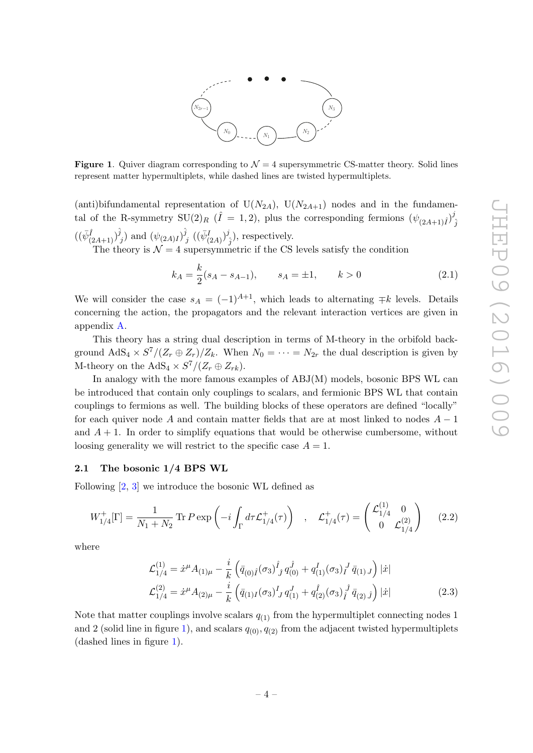

<span id="page-4-1"></span>**Figure 1.** Quiver diagram corresponding to  $\mathcal{N} = 4$  supersymmetric CS-matter theory. Solid lines represent matter hypermultiplets, while dashed lines are twisted hypermultiplets.

(anti)bifundamental representation of  $U(N_{2A})$ ,  $U(N_{2A+1})$  nodes and in the fundamental of the R-symmetry  $SU(2)_R$  ( $\hat{I} = 1, 2$ ), plus the corresponding fermions  $(\psi_{(2A+1)\hat{I}})^{\hat{J}}$  $\hat{j}$  $((\bar{\psi}^{\hat{I}}_{(2A+1)})^{\hat{j}}$  $\hat{y}_j$ ) and  $(\psi_{(2A)I})^{\hat{j}}$  $j\ \ ((\bar\psi_{(2A)}^I)^j$  $\hat{j}_j$ , respectively.

The theory is  $\mathcal{N} = 4$  supersymmetric if the CS levels satisfy the condition

$$
k_A = \frac{k}{2}(s_A - s_{A-1}), \qquad s_A = \pm 1, \qquad k > 0 \tag{2.1}
$$

We will consider the case  $s_A = (-1)^{A+1}$ , which leads to alternating  $\mp k$  levels. Details concerning the action, the propagators and the relevant interaction vertices are given in appendix [A.](#page-19-0)

This theory has a string dual description in terms of M-theory in the orbifold background  $AdS_4 \times S^7/(Z_r \oplus Z_r)/Z_k$ . When  $N_0 = \cdots = N_{2r}$  the dual description is given by M-theory on the  $AdS_4 \times S^7/(Z_r \oplus Z_{rk})$ .

In analogy with the more famous examples of ABJ(M) models, bosonic BPS WL can be introduced that contain only couplings to scalars, and fermionic BPS WL that contain couplings to fermions as well. The building blocks of these operators are defined "locally" for each quiver node A and contain matter fields that are at most linked to nodes  $A - 1$ and  $A + 1$ . In order to simplify equations that would be otherwise cumbersome, without loosing generality we will restrict to the specific case  $A = 1$ .

#### <span id="page-4-0"></span>2.1 The bosonic 1/4 BPS WL

Following [\[2,](#page-34-1) [3\]](#page-34-3) we introduce the bosonic WL defined as

<span id="page-4-2"></span>
$$
W_{1/4}^+[\Gamma] = \frac{1}{N_1 + N_2} \operatorname{Tr} P \exp\left(-i \int_{\Gamma} d\tau \mathcal{L}_{1/4}^+(\tau)\right) , \quad \mathcal{L}_{1/4}^+(\tau) = \begin{pmatrix} \mathcal{L}_{1/4}^{(1)} & 0\\ 0 & \mathcal{L}_{1/4}^{(2)} \end{pmatrix} \tag{2.2}
$$

where

$$
\mathcal{L}_{1/4}^{(1)} = \dot{x}^{\mu} A_{(1)\mu} - \frac{i}{k} \left( \bar{q}_{(0)\hat{I}}(\sigma_3) \hat{I}_j q_{(0)}^{\hat{J}} + q_{(1)}^I(\sigma_3) \hat{I}_j \bar{q}_{(1)J} \right) |\dot{x}| \n\mathcal{L}_{1/4}^{(2)} = \dot{x}^{\mu} A_{(2)\mu} - \frac{i}{k} \left( \bar{q}_{(1)I}(\sigma_3) \hat{I}_j q_{(1)}^J + q_{(2)}^{\hat{I}}(\sigma_3) \hat{I}_j \bar{q}_{(2)} \hat{J}_j \right) |\dot{x}|
$$
\n(2.3)

Note that matter couplings involve scalars  $q_{(1)}$  from the hypermultiplet connecting nodes 1 and 2 (solid line in figure [1\)](#page-4-1), and scalars  $q_{(0)}, q_{(2)}$  from the adjacent twisted hypermultiplets (dashed lines in figure [1\)](#page-4-1).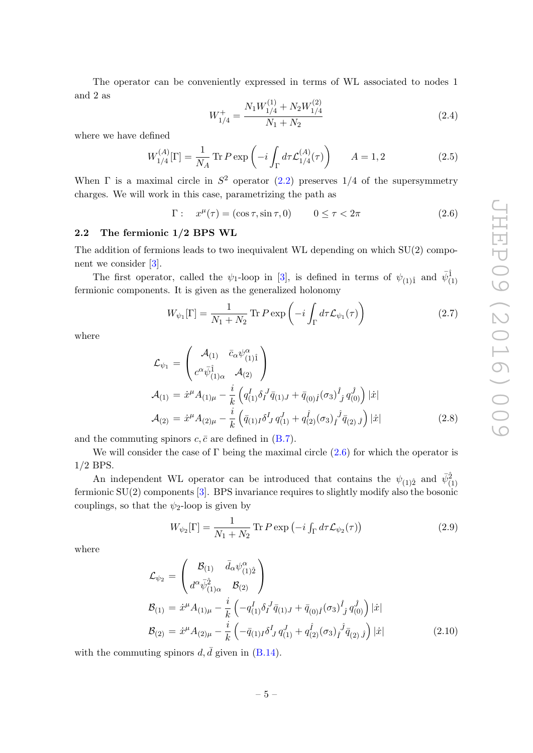The operator can be conveniently expressed in terms of WL associated to nodes 1 and 2 as

<span id="page-5-2"></span>
$$
W_{1/4}^{+} = \frac{N_1 W_{1/4}^{(1)} + N_2 W_{1/4}^{(2)}}{N_1 + N_2}
$$
\n(2.4)

where we have defined

$$
W_{1/4}^{(A)}[\Gamma] = \frac{1}{N_A} \text{Tr} \, P \exp\left(-i \int_{\Gamma} d\tau \mathcal{L}_{1/4}^{(A)}(\tau)\right) \qquad A = 1, 2 \tag{2.5}
$$

When  $\Gamma$  is a maximal circle in  $S^2$  operator [\(2.2\)](#page-4-2) preserves 1/4 of the supersymmetry charges. We will work in this case, parametrizing the path as

<span id="page-5-1"></span>
$$
\Gamma: \quad x^{\mu}(\tau) = (\cos \tau, \sin \tau, 0) \qquad 0 \le \tau < 2\pi \tag{2.6}
$$

## <span id="page-5-0"></span>2.2 The fermionic 1/2 BPS WL

The addition of fermions leads to two inequivalent WL depending on which  $SU(2)$  component we consider [\[3\]](#page-34-3).

The first operator, called the  $\psi_1$ -loop in [\[3\]](#page-34-3), is defined in terms of  $\psi_{(1)1}$  and  $\bar{\psi}_{(1)}^{\hat{1}}$ fermionic components. It is given as the generalized holonomy

$$
W_{\psi_1}[\Gamma] = \frac{1}{N_1 + N_2} \operatorname{Tr} P \exp\left(-i \int_{\Gamma} d\tau \mathcal{L}_{\psi_1}(\tau)\right) \tag{2.7}
$$

where

<span id="page-5-3"></span>
$$
\mathcal{L}_{\psi_1} = \begin{pmatrix} \mathcal{A}_{(1)} & \bar{c}_{\alpha} \psi_{(1)}^{\alpha} \\ c^{\alpha} \bar{\psi}_{(1)\alpha}^{\hat{1}} & \mathcal{A}_{(2)} \end{pmatrix} \n\mathcal{A}_{(1)} = \dot{x}^{\mu} A_{(1)\mu} - \frac{i}{k} \left( q_{(1)}^{\dagger} \delta_{I}^{\dagger} \bar{q}_{(1)J} + \bar{q}_{(0)\hat{I}} (\sigma_3)^{\hat{I}}{}_{\hat{J}} q_{(0)}^{\hat{J}} \right) |\dot{x}| \n\mathcal{A}_{(2)} = \dot{x}^{\mu} A_{(2)\mu} - \frac{i}{k} \left( \bar{q}_{(1)I} \delta_{I}^{\dagger} q_{(1)}^{\dagger} + q_{(2)}^{\hat{I}} (\sigma_3)_{\hat{I}}^{\dagger} \bar{q}_{(2)}^{\dagger} \hat{J} \right) |\dot{x}|
$$
\n(2.8)

and the commuting spinors  $c, \bar{c}$  are defined in [\(B.7\)](#page-24-0).

We will consider the case of  $\Gamma$  being the maximal circle  $(2.6)$  for which the operator is 1/2 BPS.

An independent WL operator can be introduced that contains the  $\psi_{(1)2}$  and  $\bar{\psi}_{(1)}^{\hat{2}}$ fermionic SU(2) components [\[3\]](#page-34-3). BPS invariance requires to slightly modify also the bosonic couplings, so that the  $\psi_2$ -loop is given by

$$
W_{\psi_2}[\Gamma] = \frac{1}{N_1 + N_2} \operatorname{Tr} P \exp\left(-i \int_{\Gamma} d\tau \mathcal{L}_{\psi_2}(\tau)\right)
$$
(2.9)

where

$$
\mathcal{L}_{\psi_2} = \begin{pmatrix} \mathcal{B}_{(1)} & \bar{d}_{\alpha} \psi^{\alpha}_{(1)\hat{2}} \\ d^{\alpha} \bar{\psi}^{\hat{2}}_{(1)\alpha} & \mathcal{B}_{(2)} \end{pmatrix}
$$
  
\n
$$
\mathcal{B}_{(1)} = \dot{x}^{\mu} A_{(1)\mu} - \frac{i}{k} \left( -q^I_{(1)} \delta_I^J \bar{q}_{(1)J} + \bar{q}_{(0)\hat{I}} (\sigma_3) \hat{f}_j q^{\hat{J}}_{(0)} \right) |\dot{x}|
$$
  
\n
$$
\mathcal{B}_{(2)} = \dot{x}^{\mu} A_{(2)\mu} - \frac{i}{k} \left( -\bar{q}_{(1)I} \delta_J^I q^{\hat{J}}_{(1)} + q^{\hat{I}}_{(2)} (\sigma_3) \hat{f}_j \bar{q}_{(2)} \hat{f} \right) |\dot{x}|
$$
\n(2.10)

with the commuting spinors  $d, \bar{d}$  given in [\(B.14\)](#page-24-1).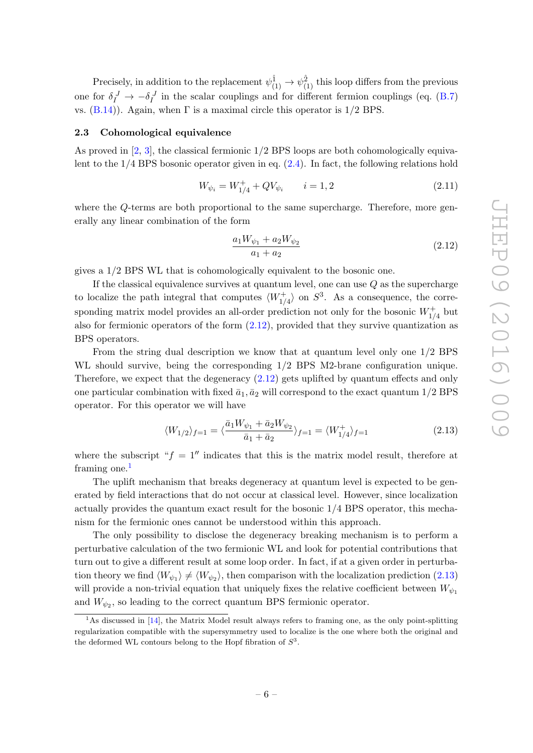Precisely, in addition to the replacement  $\psi^{\hat{1}}_{(1)} \to \psi^{\hat{2}}_{(1)}$  this loop differs from the previous one for  $\delta_I^J \to -\delta_I^J$  in the scalar couplings and for different fermion couplings (eq. [\(B.7\)](#page-24-0) vs.  $(B.14)$ ). Again, when  $\Gamma$  is a maximal circle this operator is  $1/2$  BPS.

#### <span id="page-6-0"></span>2.3 Cohomological equivalence

As proved in  $[2, 3]$  $[2, 3]$ , the classical fermionic  $1/2$  BPS loops are both cohomologically equivalent to the  $1/4$  BPS bosonic operator given in eq.  $(2.4)$ . In fact, the following relations hold

<span id="page-6-4"></span>
$$
W_{\psi_i} = W_{1/4}^+ + QV_{\psi_i} \qquad i = 1, 2 \tag{2.11}
$$

where the Q-terms are both proportional to the same supercharge. Therefore, more generally any linear combination of the form

<span id="page-6-1"></span>
$$
\frac{a_1 W_{\psi_1} + a_2 W_{\psi_2}}{a_1 + a_2} \tag{2.12}
$$

gives a 1/2 BPS WL that is cohomologically equivalent to the bosonic one.

If the classical equivalence survives at quantum level, one can use  $Q$  as the supercharge to localize the path integral that computes  $\langle W_{1/4}^+ \rangle$  on  $S^3$ . As a consequence, the corresponding matrix model provides an all-order prediction not only for the bosonic  $W_{1/4}^+$  but also for fermionic operators of the form  $(2.12)$ , provided that they survive quantization as BPS operators.

From the string dual description we know that at quantum level only one 1/2 BPS WL should survive, being the corresponding  $1/2$  BPS M2-brane configuration unique. Therefore, we expect that the degeneracy [\(2.12\)](#page-6-1) gets uplifted by quantum effects and only one particular combination with fixed  $\bar{a}_1, \bar{a}_2$  will correspond to the exact quantum  $1/2$  BPS operator. For this operator we will have

<span id="page-6-3"></span>
$$
\langle W_{1/2} \rangle_{f=1} = \langle \frac{\bar{a}_1 W_{\psi_1} + \bar{a}_2 W_{\psi_2}}{\bar{a}_1 + \bar{a}_2} \rangle_{f=1} = \langle W_{1/4}^+ \rangle_{f=1}
$$
(2.13)

where the subscript " $f = 1$ " indicates that this is the matrix model result, therefore at framing one. $<sup>1</sup>$  $<sup>1</sup>$  $<sup>1</sup>$ </sup>

The uplift mechanism that breaks degeneracy at quantum level is expected to be generated by field interactions that do not occur at classical level. However, since localization actually provides the quantum exact result for the bosonic  $1/4$  BPS operator, this mechanism for the fermionic ones cannot be understood within this approach.

The only possibility to disclose the degeneracy breaking mechanism is to perform a perturbative calculation of the two fermionic WL and look for potential contributions that turn out to give a different result at some loop order. In fact, if at a given order in perturbation theory we find  $\langle W_{\psi_1} \rangle \neq \langle W_{\psi_2} \rangle$ , then comparison with the localization prediction [\(2.13\)](#page-6-3) will provide a non-trivial equation that uniquely fixes the relative coefficient between  $W_{\psi_1}$ and  $W_{\psi_2}$ , so leading to the correct quantum BPS fermionic operator.

<span id="page-6-2"></span><sup>&</sup>lt;sup>1</sup>As discussed in [\[14\]](#page-35-7), the Matrix Model result always refers to framing one, as the only point-splitting regularization compatible with the supersymmetry used to localize is the one where both the original and the deformed WL contours belong to the Hopf fibration of  $S^3$ .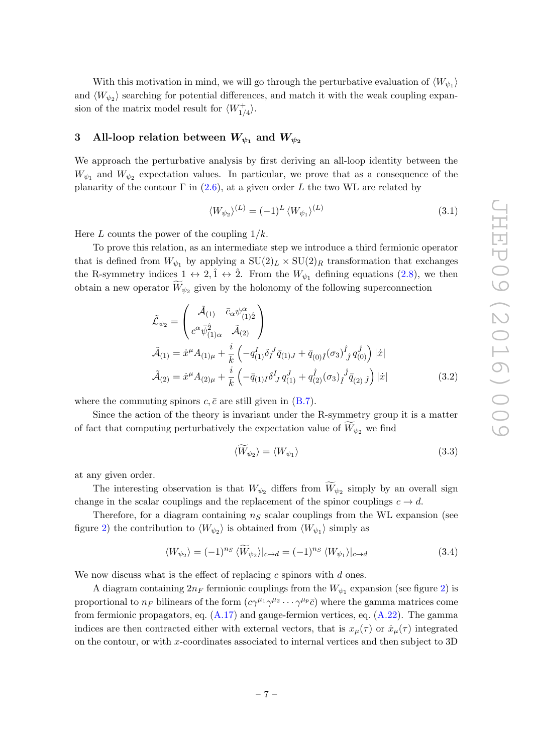With this motivation in mind, we will go through the perturbative evaluation of  $\langle W_{\psi_1} \rangle$ and  $\langle W_{\psi_2} \rangle$  searching for potential differences, and match it with the weak coupling expansion of the matrix model result for  $\langle W^+_{1/4} \rangle$ .

## <span id="page-7-0"></span>3 All-loop relation between  $W_{\psi_1}$  and  $W_{\psi_2}$

We approach the perturbative analysis by first deriving an all-loop identity between the  $W_{\psi_1}$  and  $W_{\psi_2}$  expectation values. In particular, we prove that as a consequence of the planarity of the contour  $\Gamma$  in [\(2.6\)](#page-5-1), at a given order L the two WL are related by

<span id="page-7-2"></span>
$$
\langle W_{\psi_2} \rangle^{(L)} = (-1)^L \langle W_{\psi_1} \rangle^{(L)} \tag{3.1}
$$

Here L counts the power of the coupling  $1/k$ .

To prove this relation, as an intermediate step we introduce a third fermionic operator that is defined from  $W_{\psi_1}$  by applying a  $SU(2)_L \times SU(2)_R$  transformation that exchanges the R-symmetry indices  $1 \leftrightarrow 2, \hat{1} \leftrightarrow \hat{2}$ . From the  $W_{\psi_1}$  defining equations [\(2.8\)](#page-5-3), we then obtain a new operator  $W_{\psi_2}$  given by the holonomy of the following superconnection

$$
\tilde{\mathcal{L}}_{\psi_2} = \begin{pmatrix}\n\tilde{\mathcal{A}}_{(1)} & \bar{c}_{\alpha} \psi^{\alpha}_{(1)\hat{2}} \\
c^{\alpha} \bar{\psi}^{\hat{2}}_{(1)\alpha} & \tilde{\mathcal{A}}_{(2)}\n\end{pmatrix} \n\tilde{\mathcal{A}}_{(1)} = \dot{x}^{\mu} A_{(1)\mu} + \frac{i}{k} \left( -q^I_{(1)} \delta_I^J \bar{q}_{(1)J} + \bar{q}_{(0)\hat{I}} (\sigma_3) \hat{f}_j q^{\hat{J}}_{(0)} \right) |\dot{x}| \n\tilde{\mathcal{A}}_{(2)} = \dot{x}^{\mu} A_{(2)\mu} + \frac{i}{k} \left( -\bar{q}_{(1)I} \delta_J^I q^J_{(1)} + q^{\hat{f}}_{(2)} (\sigma_3) \hat{f}^{\hat{J}} \bar{q}_{(2)} \hat{J} \right) |\dot{x}|
$$
\n(3.2)

where the commuting spinors  $c, \bar{c}$  are still given in  $(B.7)$ .

Since the action of the theory is invariant under the R-symmetry group it is a matter of fact that computing perturbatively the expectation value of  $W_{\psi_2}$  we find

$$
\langle \widetilde{W}_{\psi_2} \rangle = \langle W_{\psi_1} \rangle \tag{3.3}
$$

at any given order.

The interesting observation is that  $W_{\psi_2}$  differs from  $W_{\psi_2}$  simply by an overall sign change in the scalar couplings and the replacement of the spinor couplings  $c \to d$ .

Therefore, for a diagram containing  $n<sub>S</sub>$  scalar couplings from the WL expansion (see figure [2\)](#page-8-0) the contribution to  $\langle W_{\psi_2} \rangle$  is obtained from  $\langle W_{\psi_1} \rangle$  simply as

<span id="page-7-1"></span>
$$
\langle W_{\psi_2} \rangle = (-1)^{n_S} \langle \widetilde{W}_{\psi_2} \rangle|_{c \to d} = (-1)^{n_S} \langle W_{\psi_1} \rangle|_{c \to d}
$$
\n(3.4)

We now discuss what is the effect of replacing  $c$  spinors with  $d$  ones.

A diagram containing  $2n_F$  fermionic couplings from the  $W_{\psi_1}$  expansion (see figure [2\)](#page-8-0) is proportional to  $n_F$  bilinears of the form  $(c\gamma^{\mu_1}\gamma^{\mu_2}\cdots\gamma^{\mu_p}\bar{c})$  where the gamma matrices come from fermionic propagators, eq.  $(A.17)$  and gauge-fermion vertices, eq.  $(A.22)$ . The gamma indices are then contracted either with external vectors, that is  $x_{\mu}(\tau)$  or  $\dot{x}_{\mu}(\tau)$  integrated on the contour, or with x-coordinates associated to internal vertices and then subject to 3D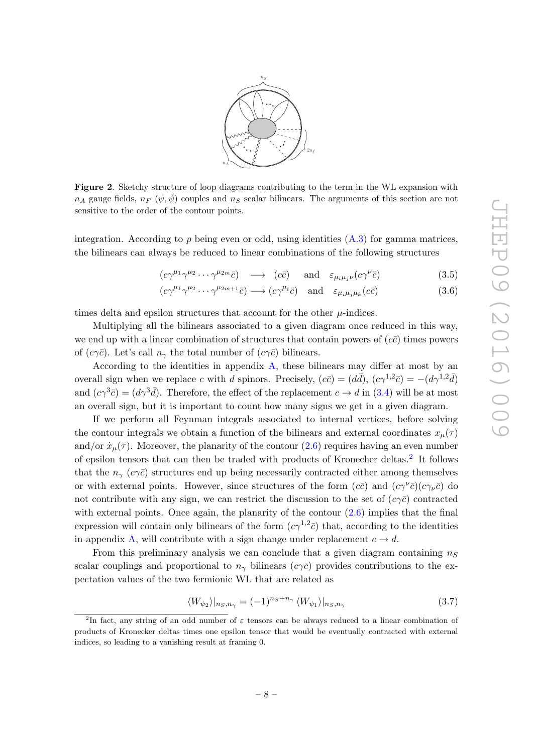

<span id="page-8-0"></span>Figure 2. Sketchy structure of loop diagrams contributing to the term in the WL expansion with  $n_A$  gauge fields,  $n_F$  ( $\psi, \bar{\psi}$ ) couples and  $n_S$  scalar bilinears. The arguments of this section are not sensitive to the order of the contour points.

integration. According to  $p$  being even or odd, using identities  $(A.3)$  for gamma matrices, the bilinears can always be reduced to linear combinations of the following structures

<span id="page-8-3"></span>
$$
(c\gamma^{\mu_1}\gamma^{\mu_2}\cdots\gamma^{\mu_{2m}}\bar{c}) \longrightarrow (c\bar{c}) \quad \text{and} \quad \varepsilon_{\mu_i\mu_j\nu}(c\gamma^{\nu}\bar{c})
$$
 (3.5)

$$
(c\gamma^{\mu_1}\gamma^{\mu_2}\cdots\gamma^{\mu_{2m+1}}\bar{c}) \longrightarrow (c\gamma^{\mu_i}\bar{c}) \quad \text{and} \quad \varepsilon_{\mu_i\mu_j\mu_k}(c\bar{c})
$$
 (3.6)

times delta and epsilon structures that account for the other  $\mu$ -indices.

Multiplying all the bilinears associated to a given diagram once reduced in this way, we end up with a linear combination of structures that contain powers of  $(c\bar{c})$  times powers of  $(c\gamma\bar{c})$ . Let's call  $n_{\gamma}$  the total number of  $(c\gamma\bar{c})$  bilinears.

According to the identities in appendix [A,](#page-19-0) these bilinears may differ at most by an overall sign when we replace c with d spinors. Precisely,  $(c\bar{c}) = (d\bar{d})$ ,  $(c\gamma^{1,2}\bar{c}) = -(d\gamma^{1,2}\bar{d})$ and  $(c\gamma^3 \bar{c}) = (d\gamma^3 \bar{d})$ . Therefore, the effect of the replacement  $c \to d$  in [\(3.4\)](#page-7-1) will be at most an overall sign, but it is important to count how many signs we get in a given diagram.

If we perform all Feynman integrals associated to internal vertices, before solving the contour integrals we obtain a function of the bilinears and external coordinates  $x_{\mu}(\tau)$ and/or  $\dot{x}_{\mu}(\tau)$ . Moreover, the planarity of the contour [\(2.6\)](#page-5-1) requires having an even number of epsilon tensors that can then be traded with products of Kronecher deltas.[2](#page-8-1) It follows that the  $n_{\gamma}$  (c $\gamma \bar{c}$ ) structures end up being necessarily contracted either among themselves or with external points. However, since structures of the form  $(c\bar{c})$  and  $(c\gamma^{\nu}\bar{c})(c\gamma_{\nu}\bar{c})$  do not contribute with any sign, we can restrict the discussion to the set of  $(c\gamma\bar{c})$  contracted with external points. Once again, the planarity of the contour  $(2.6)$  implies that the final expression will contain only bilinears of the form  $(c\gamma^{1,2}\bar{c})$  that, according to the identities in appendix [A,](#page-19-0) will contribute with a sign change under replacement  $c \to d$ .

From this preliminary analysis we can conclude that a given diagram containing  $n<sub>S</sub>$ scalar couplings and proportional to  $n_{\gamma}$  bilinears  $(c\gamma\bar{c})$  provides contributions to the expectation values of the two fermionic WL that are related as

<span id="page-8-2"></span>
$$
\langle W_{\psi_2} \rangle |_{n_S, n_\gamma} = (-1)^{n_S + n_\gamma} \langle W_{\psi_1} \rangle |_{n_S, n_\gamma}
$$
\n(3.7)

<span id="page-8-1"></span><sup>&</sup>lt;sup>2</sup>In fact, any string of an odd number of  $\varepsilon$  tensors can be always reduced to a linear combination of products of Kronecker deltas times one epsilon tensor that would be eventually contracted with external indices, so leading to a vanishing result at framing 0.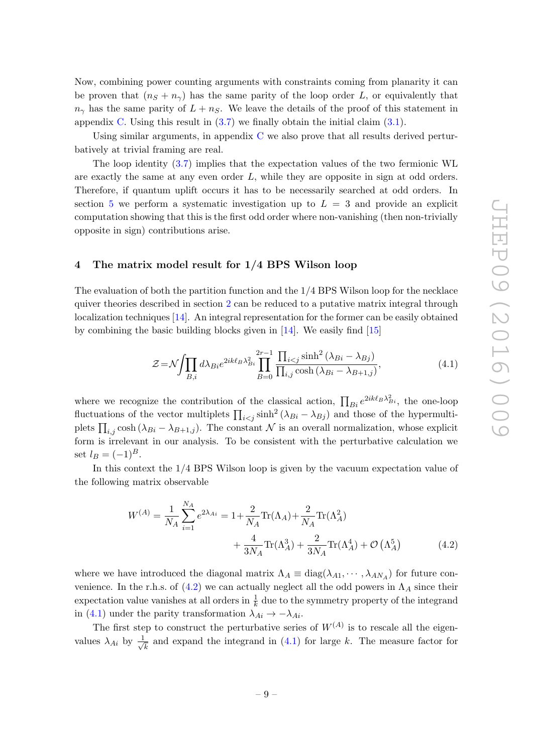Now, combining power counting arguments with constraints coming from planarity it can be proven that  $(n_S + n_\gamma)$  has the same parity of the loop order L, or equivalently that  $n_{\gamma}$  has the same parity of  $L + n_S$ . We leave the details of the proof of this statement in appendix [C.](#page-25-0) Using this result in  $(3.7)$  we finally obtain the initial claim  $(3.1)$ .

Using similar arguments, in appendix [C](#page-25-0) we also prove that all results derived perturbatively at trivial framing are real.

The loop identity [\(3.7\)](#page-8-2) implies that the expectation values of the two fermionic WL are exactly the same at any even order  $L$ , while they are opposite in sign at odd orders. Therefore, if quantum uplift occurs it has to be necessarily searched at odd orders. In section [5](#page-14-0) we perform a systematic investigation up to  $L = 3$  and provide an explicit computation showing that this is the first odd order where non-vanishing (then non-trivially opposite in sign) contributions arise.

## <span id="page-9-0"></span>4 The matrix model result for 1/4 BPS Wilson loop

The evaluation of both the partition function and the 1/4 BPS Wilson loop for the necklace quiver theories described in section [2](#page-3-0) can be reduced to a putative matrix integral through localization techniques [\[14\]](#page-35-7). An integral representation for the former can be easily obtained by combining the basic building blocks given in [\[14\]](#page-35-7). We easily find [\[15\]](#page-35-8)

<span id="page-9-2"></span>
$$
\mathcal{Z} = \mathcal{N} \int \prod_{B,i} d\lambda_{Bi} e^{2ik\ell_B \lambda_{Bi}^2} \prod_{B=0}^{2r-1} \frac{\prod_{i < j} \sinh^2 \left(\lambda_{Bi} - \lambda_{Bj}\right)}{\prod_{i,j} \cosh \left(\lambda_{Bi} - \lambda_{B+1,j}\right)},\tag{4.1}
$$

where we recognize the contribution of the classical action,  $\prod_{Bi} e^{2ik\ell_B\lambda_{Bi}^2}$ , the one-loop fluctuations of the vector multiplets  $\prod_{i < j} \sinh^2 (\lambda_{Bi} - \lambda_{Bj})$  and those of the hypermultiplets  $\prod_{i,j} \cosh(\lambda_{Bi} - \lambda_{B+1,j})$ . The constant  $\mathcal N$  is an overall normalization, whose explicit form is irrelevant in our analysis. To be consistent with the perturbative calculation we set  $l_B = (-1)^B$ .

In this context the 1/4 BPS Wilson loop is given by the vacuum expectation value of the following matrix observable

<span id="page-9-1"></span>
$$
W^{(A)} = \frac{1}{N_A} \sum_{i=1}^{N_A} e^{2\lambda_{Ai}} = 1 + \frac{2}{N_A} \text{Tr}(\Lambda_A) + \frac{2}{N_A} \text{Tr}(\Lambda_A^2) + \frac{4}{3N_A} \text{Tr}(\Lambda_A^3) + \frac{2}{3N_A} \text{Tr}(\Lambda_A^4) + \mathcal{O}(\Lambda_A^5)
$$
(4.2)

where we have introduced the diagonal matrix  $\Lambda_A \equiv \text{diag}(\lambda_{A1}, \cdots, \lambda_{AN_A})$  for future convenience. In the r.h.s. of  $(4.2)$  we can actually neglect all the odd powers in  $\Lambda_A$  since their expectation value vanishes at all orders in  $\frac{1}{k}$  due to the symmetry property of the integrand in [\(4.1\)](#page-9-2) under the parity transformation  $\lambda_{Ai} \rightarrow -\lambda_{Ai}$ .

The first step to construct the perturbative series of  $W^{(A)}$  is to rescale all the eigenvalues  $\lambda_{Ai}$  by  $\frac{1}{\sqrt{2}}$  $\frac{1}{k}$  and expand the integrand in [\(4.1\)](#page-9-2) for large k. The measure factor for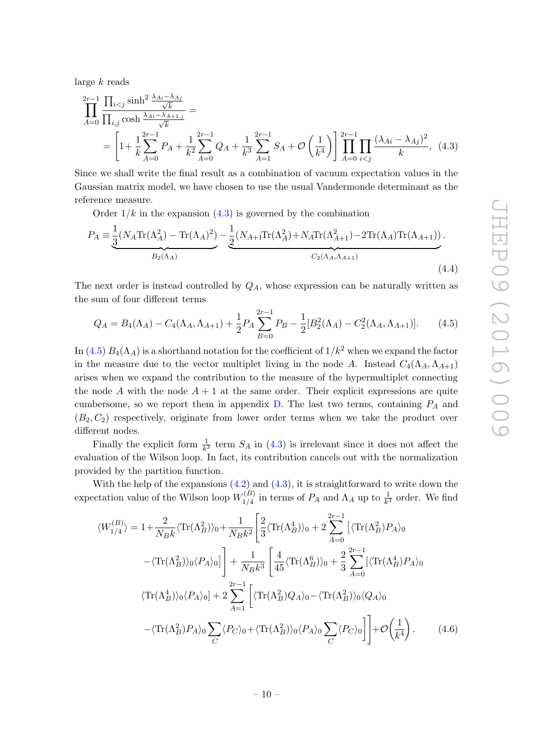large  $k$  reads

$$
\prod_{A=0}^{2r-1} \frac{\prod_{i
$$

Since we shall write the final result as a combination of vacuum expectation values in the Gaussian matrix model, we have chosen to use the usual Vandermonde determinant as the reference measure.

<span id="page-10-0"></span>Order  $1/k$  in the expansion  $(4.3)$  is governed by the combination

$$
P_A = \underbrace{\frac{1}{3}(N_A \text{Tr}(\Lambda_A^2) - \text{Tr}(\Lambda_A)^2)}_{B_2(\Lambda_A)} - \underbrace{\frac{1}{2}(N_{A+1} \text{Tr}(\Lambda_A^2) + N_A \text{Tr}(\Lambda_{A+1}^2) - 2\text{Tr}(\Lambda_A)\text{Tr}(\Lambda_{A+1}))}_{C_2(\Lambda_A, \Lambda_{A+1})}.
$$
\n(4.4)

The next order is instead controlled by  $Q_A$ , whose expression can be naturally written as the sum of four different terms

<span id="page-10-1"></span>
$$
Q_A = B_4(\Lambda_A) - C_4(\Lambda_A, \Lambda_{A+1}) + \frac{1}{2} P_A \sum_{B=0}^{2r-1} P_B - \frac{1}{2} [B_2^2(\Lambda_A) - C_2^2(\Lambda_A, \Lambda_{A+1})]. \tag{4.5}
$$

In [\(4.5\)](#page-10-1)  $B_4(\Lambda_A)$  is a shorthand notation for the coefficient of  $1/k^2$  when we expand the factor in the measure due to the vector multiplet living in the node A. Instead  $C_4(\Lambda_A, \Lambda_{A+1})$ arises when we expand the contribution to the measure of the hypermultiplet connecting the node A with the node  $A + 1$  at the same order. Their explicit expressions are quite cumbersome, so we report them in appendix  $D$ . The last two terms, containing  $P_A$  and  $(B_2, C_2)$  respectively, originate from lower order terms when we take the product over different nodes.

Finally the explicit form  $\frac{1}{k^3}$  term  $S_A$  in [\(4.3\)](#page-10-0) is irrelevant since it does not affect the evaluation of the Wilson loop. In fact, its contribution cancels out with the normalization provided by the partition function.

With the help of the expansions  $(4.2)$  and  $(4.3)$ , it is straightforward to write down the expectation value of the Wilson loop  $W_{1/4}^{(B)}$  $\frac{1}{4}$  in terms of  $P_A$  and  $\Lambda_A$  up to  $\frac{1}{k^3}$  order. We find

<span id="page-10-2"></span>
$$
\langle W_{1/4}^{(B)} \rangle = 1 + \frac{2}{N_B k} \langle \text{Tr}(\Lambda_B^2) \rangle_0 + \frac{1}{N_B k^2} \left[ \frac{2}{3} \langle \text{Tr}(\Lambda_B^4) \rangle_0 + 2 \sum_{A=0}^{2r-1} \left[ \langle \text{Tr}(\Lambda_B^2) P_A \rangle_0 \right] \right. \\
\left. - \langle \text{Tr}(\Lambda_B^2) \rangle_0 \langle P_A \rangle_0 \right] \Bigg] + \frac{1}{N_B k^3} \left[ \frac{4}{45} \langle \text{Tr}(\Lambda_B^6) \rangle_0 + \frac{2}{3} \sum_{A=0}^{2r-1} \left[ \langle \text{Tr}(\Lambda_B^4) P_A \rangle_0 \right] \right. \\
\left. \langle \text{Tr}(\Lambda_B^4) \rangle_0 \langle P_A \rangle_0 \right] + 2 \sum_{A=1}^{2r-1} \left[ \langle \text{Tr}(\Lambda_B^2) Q_A \rangle_0 - \langle \text{Tr}(\Lambda_B^2) \rangle_0 \langle Q_A \rangle_0 \right. \\
\left. - \langle \text{Tr}(\Lambda_B^2) P_A \rangle_0 \sum_C \langle P_C \rangle_0 + \langle \text{Tr}(\Lambda_B^2) \rangle_0 \langle P_A \rangle_0 \sum_C \langle P_C \rangle_0 \right] \Bigg] + \mathcal{O} \left( \frac{1}{k^4} \right). \tag{4.6}
$$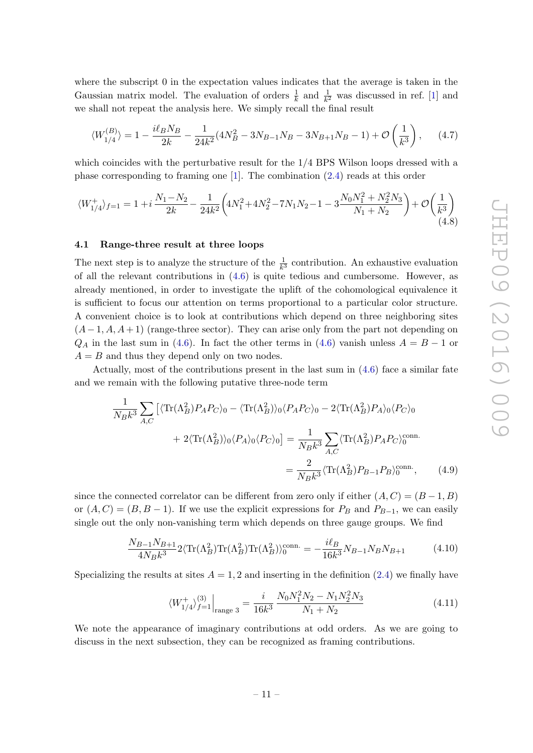where the subscript 0 in the expectation values indicates that the average is taken in the Gaussian matrix model. The evaluation of orders  $\frac{1}{k}$  and  $\frac{1}{k^2}$  was discussed in ref. [\[1\]](#page-34-0) and we shall not repeat the analysis here. We simply recall the final result

$$
\langle W_{1/4}^{(B)} \rangle = 1 - \frac{i\ell_B N_B}{2k} - \frac{1}{24k^2} (4N_B^2 - 3N_{B-1}N_B - 3N_{B+1}N_B - 1) + \mathcal{O}\left(\frac{1}{k^3}\right), \tag{4.7}
$$

which coincides with the perturbative result for the 1/4 BPS Wilson loops dressed with a phase corresponding to framing one [\[1\]](#page-34-0). The combination [\(2.4\)](#page-5-2) reads at this order

<span id="page-11-1"></span>
$$
\langle W_{1/4}^+\rangle_{f=1} = 1 + i\frac{N_1 - N_2}{2k} - \frac{1}{24k^2} \left( 4N_1^2 + 4N_2^2 - 7N_1N_2 - 1 - 3\frac{N_0N_1^2 + N_2^2N_3}{N_1 + N_2} \right) + \mathcal{O}\left(\frac{1}{k^3}\right) \tag{4.8}
$$

#### <span id="page-11-0"></span>4.1 Range-three result at three loops

The next step is to analyze the structure of the  $\frac{1}{k^3}$  contribution. An exhaustive evaluation of all the relevant contributions in  $(4.6)$  is quite tedious and cumbersome. However, as already mentioned, in order to investigate the uplift of the cohomological equivalence it is sufficient to focus our attention on terms proportional to a particular color structure. A convenient choice is to look at contributions which depend on three neighboring sites  $(A-1, A, A+1)$  (range-three sector). They can arise only from the part not depending on  $Q_A$  in the last sum in [\(4.6\)](#page-10-2). In fact the other terms in (4.6) vanish unless  $A = B - 1$  or  $A = B$  and thus they depend only on two nodes.

Actually, most of the contributions present in the last sum in  $(4.6)$  face a similar fate and we remain with the following putative three-node term

$$
\frac{1}{N_B k^3} \sum_{A,C} \left[ \langle \text{Tr}(\Lambda_B^2) P_A P_C \rangle_0 - \langle \text{Tr}(\Lambda_B^2) \rangle_0 \langle P_A P_C \rangle_0 - 2 \langle \text{Tr}(\Lambda_B^2) P_A \rangle_0 \langle P_C \rangle_0 \right]
$$

$$
+ 2 \langle \text{Tr}(\Lambda_B^2) \rangle_0 \langle P_A \rangle_0 \langle P_C \rangle_0 = \frac{1}{N_B k^3} \sum_{A,C} \langle \text{Tr}(\Lambda_B^2) P_A P_C \rangle_0^{\text{conn.}}
$$

$$
= \frac{2}{N_B k^3} \langle \text{Tr}(\Lambda_B^2) P_{B-1} P_B \rangle_0^{\text{conn.}}, \qquad (4.9)
$$

since the connected correlator can be different from zero only if either  $(A, C) = (B - 1, B)$ or  $(A, C) = (B, B - 1)$ . If we use the explicit expressions for  $P_B$  and  $P_{B-1}$ , we can easily single out the only non-vanishing term which depends on three gauge groups. We find

$$
\frac{N_{B-1}N_{B+1}}{4N_Bk^3} 2\langle \text{Tr}(\Lambda_B^2) \text{Tr}(\Lambda_B^2) \text{Tr}(\Lambda_B^2) \rangle_0^{\text{conn.}} = -\frac{i\ell_B}{16k^3} N_{B-1}N_B N_{B+1}
$$
(4.10)

Specializing the results at sites  $A = 1, 2$  and inserting in the definition  $(2.4)$  we finally have

<span id="page-11-2"></span>
$$
\langle W_{1/4}^{+} \rangle_{f=1}^{(3)} \Big|_{\text{range } 3} = \frac{i}{16k^3} \frac{N_0 N_1^2 N_2 - N_1 N_2^2 N_3}{N_1 + N_2} \tag{4.11}
$$

We note the appearance of imaginary contributions at odd orders. As we are going to discuss in the next subsection, they can be recognized as framing contributions.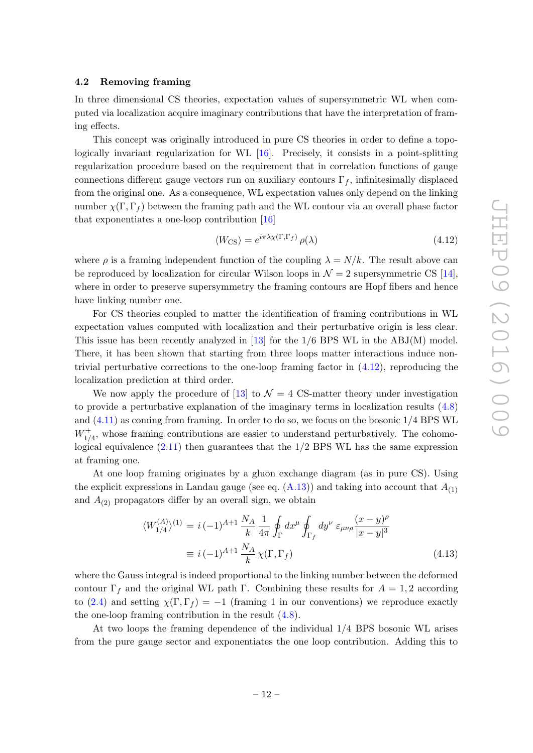#### <span id="page-12-0"></span>4.2 Removing framing

In three dimensional CS theories, expectation values of supersymmetric WL when computed via localization acquire imaginary contributions that have the interpretation of framing effects.

This concept was originally introduced in pure CS theories in order to define a topologically invariant regularization for WL [\[16\]](#page-35-9). Precisely, it consists in a point-splitting regularization procedure based on the requirement that in correlation functions of gauge connections different gauge vectors run on auxiliary contours  $\Gamma_f$ , infinitesimally displaced from the original one. As a consequence, WL expectation values only depend on the linking number  $\chi(\Gamma, \Gamma_f)$  between the framing path and the WL contour via an overall phase factor that exponentiates a one-loop contribution [\[16\]](#page-35-9)

<span id="page-12-1"></span>
$$
\langle W_{\rm CS} \rangle = e^{i\pi \lambda \chi(\Gamma, \Gamma_f)} \rho(\lambda) \tag{4.12}
$$

where  $\rho$  is a framing independent function of the coupling  $\lambda = N/k$ . The result above can be reproduced by localization for circular Wilson loops in  $\mathcal{N}=2$  supersymmetric CS [\[14\]](#page-35-7), where in order to preserve supersymmetry the framing contours are Hopf fibers and hence have linking number one.

For CS theories coupled to matter the identification of framing contributions in WL expectation values computed with localization and their perturbative origin is less clear. This issue has been recently analyzed in [\[13\]](#page-35-6) for the 1/6 BPS WL in the ABJ(M) model. There, it has been shown that starting from three loops matter interactions induce nontrivial perturbative corrections to the one-loop framing factor in  $(4.12)$ , reproducing the localization prediction at third order.

We now apply the procedure of [\[13\]](#page-35-6) to  $\mathcal{N}=4$  CS-matter theory under investigation to provide a perturbative explanation of the imaginary terms in localization results [\(4.8\)](#page-11-1) and [\(4.11\)](#page-11-2) as coming from framing. In order to do so, we focus on the bosonic 1/4 BPS WL  $W_{1/4}^+$ , whose framing contributions are easier to understand perturbatively. The cohomological equivalence  $(2.11)$  then guarantees that the  $1/2$  BPS WL has the same expression at framing one.

At one loop framing originates by a gluon exchange diagram (as in pure CS). Using the explicit expressions in Landau gauge (see eq.  $(A.13)$ ) and taking into account that  $A_{(1)}$ and  $A_{(2)}$  propagators differ by an overall sign, we obtain

$$
\langle W_{1/4}^{(A)} \rangle^{(1)} = i \, (-1)^{A+1} \, \frac{N_A}{k} \, \frac{1}{4\pi} \oint_{\Gamma} dx^{\mu} \oint_{\Gamma_f} dy^{\nu} \, \varepsilon_{\mu\nu\rho} \frac{(x-y)^{\rho}}{|x-y|^3} \n\equiv i \, (-1)^{A+1} \, \frac{N_A}{k} \, \chi(\Gamma, \Gamma_f)
$$
\n(4.13)

where the Gauss integral is indeed proportional to the linking number between the deformed contour  $\Gamma_f$  and the original WL path Γ. Combining these results for  $A = 1, 2$  according to [\(2.4\)](#page-5-2) and setting  $\chi(\Gamma, \Gamma_f) = -1$  (framing 1 in our conventions) we reproduce exactly the one-loop framing contribution in the result [\(4.8\)](#page-11-1).

At two loops the framing dependence of the individual 1/4 BPS bosonic WL arises from the pure gauge sector and exponentiates the one loop contribution. Adding this to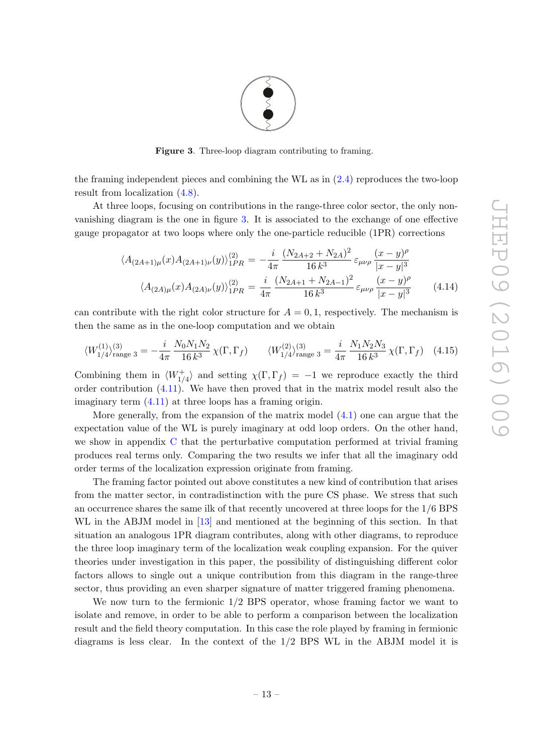<span id="page-13-0"></span>

Figure 3. Three-loop diagram contributing to framing.

the framing independent pieces and combining the WL as in [\(2.4\)](#page-5-2) reproduces the two-loop result from localization [\(4.8\)](#page-11-1).

At three loops, focusing on contributions in the range-three color sector, the only nonvanishing diagram is the one in figure [3.](#page-13-0) It is associated to the exchange of one effective gauge propagator at two loops where only the one-particle reducible (1PR) corrections

$$
\langle A_{(2A+1)\mu}(x)A_{(2A+1)\nu}(y)\rangle_{1PR}^{(2)} = -\frac{i}{4\pi} \frac{(N_{2A+2} + N_{2A})^2}{16 k^3} \varepsilon_{\mu\nu\rho} \frac{(x-y)^{\rho}}{|x-y|^3}
$$

$$
\langle A_{(2A)\mu}(x)A_{(2A)\nu}(y)\rangle_{1PR}^{(2)} = \frac{i}{4\pi} \frac{(N_{2A+1} + N_{2A-1})^2}{16 k^3} \varepsilon_{\mu\nu\rho} \frac{(x-y)^{\rho}}{|x-y|^3}
$$
(4.14)

can contribute with the right color structure for  $A = 0, 1$ , respectively. The mechanism is then the same as in the one-loop computation and we obtain

$$
\langle W_{1/4}^{(1)} \rangle_{\text{range 3}}^{(3)} = -\frac{i}{4\pi} \frac{N_0 N_1 N_2}{16 k^3} \chi(\Gamma, \Gamma_f) \qquad \langle W_{1/4}^{(2)} \rangle_{\text{range 3}}^{(3)} = \frac{i}{4\pi} \frac{N_1 N_2 N_3}{16 k^3} \chi(\Gamma, \Gamma_f) \quad (4.15)
$$

Combining them in  $\langle W^+_{1/4} \rangle$  and setting  $\chi(\Gamma, \Gamma_f) = -1$  we reproduce exactly the third order contribution [\(4.11\)](#page-11-2). We have then proved that in the matrix model result also the imaginary term [\(4.11\)](#page-11-2) at three loops has a framing origin.

More generally, from the expansion of the matrix model [\(4.1\)](#page-9-2) one can argue that the expectation value of the WL is purely imaginary at odd loop orders. On the other hand, we show in appendix [C](#page-25-0) that the perturbative computation performed at trivial framing produces real terms only. Comparing the two results we infer that all the imaginary odd order terms of the localization expression originate from framing.

The framing factor pointed out above constitutes a new kind of contribution that arises from the matter sector, in contradistinction with the pure CS phase. We stress that such an occurrence shares the same ilk of that recently uncovered at three loops for the 1/6 BPS WL in the ABJM model in [\[13\]](#page-35-6) and mentioned at the beginning of this section. In that situation an analogous 1PR diagram contributes, along with other diagrams, to reproduce the three loop imaginary term of the localization weak coupling expansion. For the quiver theories under investigation in this paper, the possibility of distinguishing different color factors allows to single out a unique contribution from this diagram in the range-three sector, thus providing an even sharper signature of matter triggered framing phenomena.

We now turn to the fermionic 1/2 BPS operator, whose framing factor we want to isolate and remove, in order to be able to perform a comparison between the localization result and the field theory computation. In this case the role played by framing in fermionic diagrams is less clear. In the context of the 1/2 BPS WL in the ABJM model it is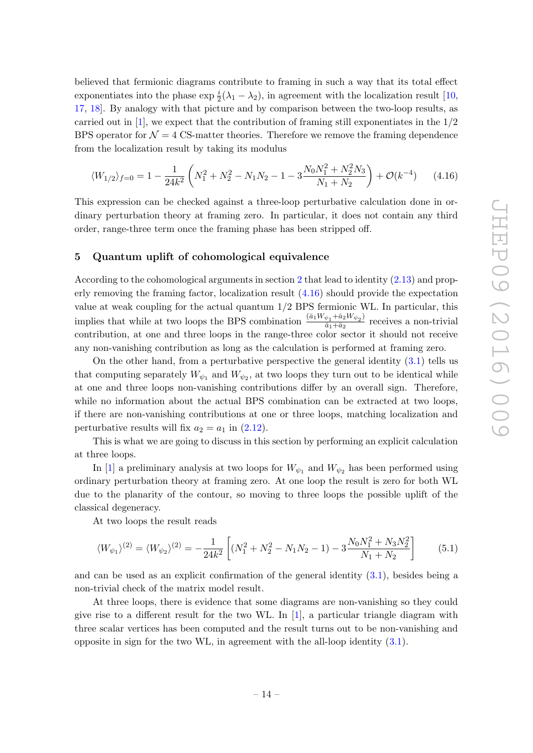**JHEP09 (2016)009** JHEP09(2016)009

believed that fermionic diagrams contribute to framing in such a way that its total effect exponentiates into the phase  $\exp \frac{i}{2}(\lambda_1 - \lambda_2)$ , in agreement with the localization result [\[10,](#page-35-3) [17,](#page-35-10) [18\]](#page-35-11). By analogy with that picture and by comparison between the two-loop results, as carried out in  $[1]$ , we expect that the contribution of framing still exponentiates in the  $1/2$ BPS operator for  $\mathcal{N} = 4$  CS-matter theories. Therefore we remove the framing dependence from the localization result by taking its modulus

<span id="page-14-1"></span>
$$
\langle W_{1/2} \rangle_{f=0} = 1 - \frac{1}{24k^2} \left( N_1^2 + N_2^2 - N_1 N_2 - 1 - 3 \frac{N_0 N_1^2 + N_2^2 N_3}{N_1 + N_2} \right) + \mathcal{O}(k^{-4}) \tag{4.16}
$$

This expression can be checked against a three-loop perturbative calculation done in ordinary perturbation theory at framing zero. In particular, it does not contain any third order, range-three term once the framing phase has been stripped off.

## <span id="page-14-0"></span>5 Quantum uplift of cohomological equivalence

According to the cohomological arguments in section [2](#page-3-0) that lead to identity [\(2.13\)](#page-6-3) and properly removing the framing factor, localization result [\(4.16\)](#page-14-1) should provide the expectation value at weak coupling for the actual quantum 1/2 BPS fermionic WL. In particular, this implies that while at two loops the BPS combination  $\frac{(\bar{a}_1 W_{\psi_1} + \bar{a}_2 W_{\psi_2})}{\bar{a}_1 + \bar{a}_2}$  $\frac{\psi_1 + \mu_2 \nu_1 \psi_2}{\bar{a}_1 + \bar{a}_2}$  receives a non-trivial contribution, at one and three loops in the range-three color sector it should not receive any non-vanishing contribution as long as the calculation is performed at framing zero.

On the other hand, from a perturbative perspective the general identity [\(3.1\)](#page-7-2) tells us that computing separately  $W_{\psi_1}$  and  $W_{\psi_2}$ , at two loops they turn out to be identical while at one and three loops non-vanishing contributions differ by an overall sign. Therefore, while no information about the actual BPS combination can be extracted at two loops, if there are non-vanishing contributions at one or three loops, matching localization and perturbative results will fix  $a_2 = a_1$  in  $(2.12)$ .

This is what we are going to discuss in this section by performing an explicit calculation at three loops.

In [\[1\]](#page-34-0) a preliminary analysis at two loops for  $W_{\psi_1}$  and  $W_{\psi_2}$  has been performed using ordinary perturbation theory at framing zero. At one loop the result is zero for both WL due to the planarity of the contour, so moving to three loops the possible uplift of the classical degeneracy.

At two loops the result reads

$$
\langle W_{\psi_1} \rangle^{(2)} = \langle W_{\psi_2} \rangle^{(2)} = -\frac{1}{24k^2} \left[ (N_1^2 + N_2^2 - N_1 N_2 - 1) - 3 \frac{N_0 N_1^2 + N_3 N_2^2}{N_1 + N_2} \right] \tag{5.1}
$$

and can be used as an explicit confirmation of the general identity  $(3.1)$ , besides being a non-trivial check of the matrix model result.

At three loops, there is evidence that some diagrams are non-vanishing so they could give rise to a different result for the two WL. In  $[1]$ , a particular triangle diagram with three scalar vertices has been computed and the result turns out to be non-vanishing and opposite in sign for the two WL, in agreement with the all-loop identity [\(3.1\)](#page-7-2).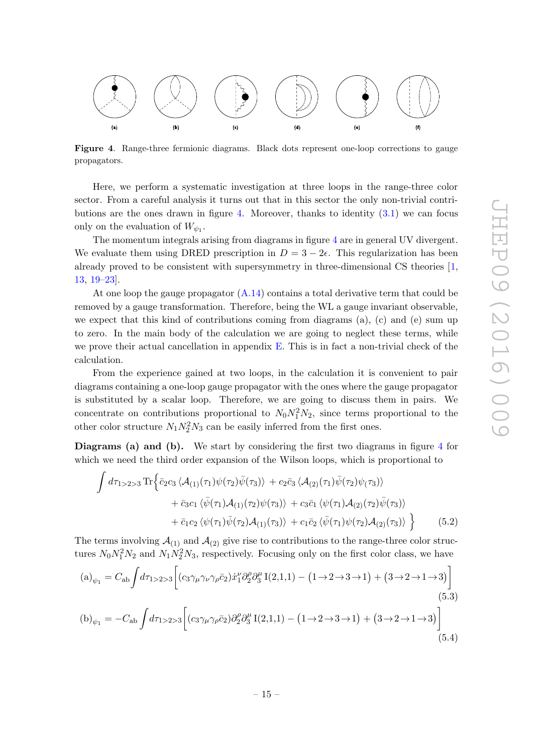

<span id="page-15-0"></span>Figure 4. Range-three fermionic diagrams. Black dots represent one-loop corrections to gauge propagators.

Here, we perform a systematic investigation at three loops in the range-three color sector. From a careful analysis it turns out that in this sector the only non-trivial contri-butions are the ones drawn in figure [4.](#page-15-0) Moreover, thanks to identity  $(3.1)$  we can focus only on the evaluation of  $W_{\psi_1}$ .

The momentum integrals arising from diagrams in figure [4](#page-15-0) are in general UV divergent. We evaluate them using DRED prescription in  $D = 3 - 2\epsilon$ . This regularization has been already proved to be consistent with supersymmetry in three-dimensional CS theories [\[1,](#page-34-0) [13,](#page-35-6) [19](#page-35-12)[–23\]](#page-35-13).

At one loop the gauge propagator  $(A.14)$  contains a total derivative term that could be removed by a gauge transformation. Therefore, being the WL a gauge invariant observable, we expect that this kind of contributions coming from diagrams (a), (c) and (e) sum up to zero. In the main body of the calculation we are going to neglect these terms, while we prove their actual cancellation in appendix  $E$ . This is in fact a non-trivial check of the calculation.

From the experience gained at two loops, in the calculation it is convenient to pair diagrams containing a one-loop gauge propagator with the ones where the gauge propagator is substituted by a scalar loop. Therefore, we are going to discuss them in pairs. We concentrate on contributions proportional to  $N_0 N_1^2 N_2$ , since terms proportional to the other color structure  $N_1 N_2^2 N_3$  can be easily inferred from the first ones.

Diagrams (a) and (b). We start by considering the first two diagrams in figure [4](#page-15-0) for which we need the third order expansion of the Wilson loops, which is proportional to

$$
\int d\tau_{1>2>3} \operatorname{Tr} \Big\{ \bar{c}_2 c_3 \langle \mathcal{A}_{(1)}(\tau_1) \psi(\tau_2) \bar{\psi}(\tau_3) \rangle + c_2 \bar{c}_3 \langle \mathcal{A}_{(2)}(\tau_1) \bar{\psi}(\tau_2) \psi(\tau_3) \rangle + \bar{c}_3 c_1 \langle \bar{\psi}(\tau_1) \mathcal{A}_{(1)}(\tau_2) \psi(\tau_3) \rangle + c_3 \bar{c}_1 \langle \psi(\tau_1) \mathcal{A}_{(2)}(\tau_2) \bar{\psi}(\tau_3) \rangle + \bar{c}_1 c_2 \langle \psi(\tau_1) \bar{\psi}(\tau_2) \mathcal{A}_{(1)}(\tau_3) \rangle + c_1 \bar{c}_2 \langle \bar{\psi}(\tau_1) \psi(\tau_2) \mathcal{A}_{(2)}(\tau_3) \rangle \Big\} \qquad (5.2)
$$

The terms involving  $\mathcal{A}_{(1)}$  and  $\mathcal{A}_{(2)}$  give rise to contributions to the range-three color structures  $N_0 N_1^2 N_2$  and  $N_1 N_2^2 N_3$ , respectively. Focusing only on the first color class, we have

<span id="page-15-2"></span><span id="page-15-1"></span>
$$
(a)_{\psi_1} = C_{ab} \int d\tau_{1>2>3} \left[ (c_3 \gamma_\mu \gamma_\nu \gamma_\rho \bar{c}_2) \dot{x}_1^\nu \partial_2^\rho \partial_3^\mu I(2,1,1) - (1 \to 2 \to 3 \to 1) + (3 \to 2 \to 1 \to 3) \right]
$$
\n
$$
(5.3)
$$
\n
$$
(b)_{\psi_1} = -C_{ab} \int d\tau_{1>2>3} \left[ (c_3 \gamma_\mu \gamma_\rho \bar{c}_2) \partial_2^\rho \partial_3^\mu I(2,1,1) - (1 \to 2 \to 3 \to 1) + (3 \to 2 \to 1 \to 3) \right]
$$
\n
$$
(5.4)
$$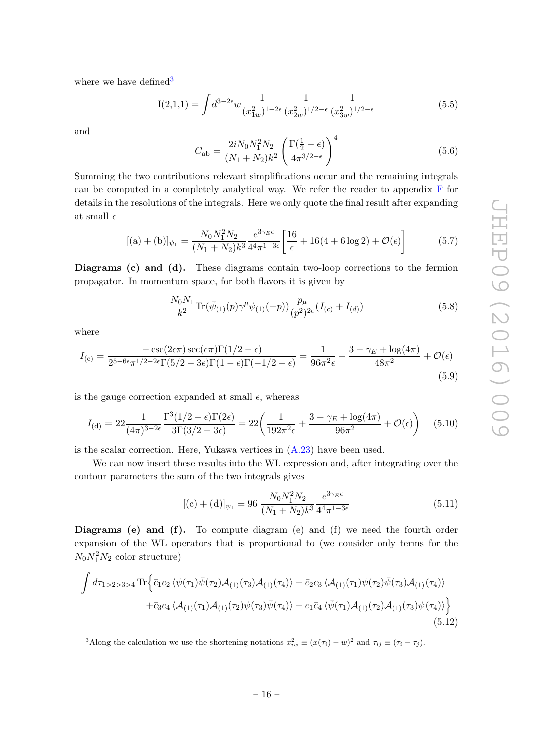where we have defined  $3$ 

<span id="page-16-2"></span>
$$
I(2,1,1) = \int d^{3-2\epsilon} w \frac{1}{(x_{1w}^2)^{1-2\epsilon}} \frac{1}{(x_{2w}^2)^{1/2-\epsilon}} \frac{1}{(x_{3w}^2)^{1/2-\epsilon}} \tag{5.5}
$$

and

<span id="page-16-1"></span>
$$
C_{\rm ab} = \frac{2iN_0N_1^2N_2}{(N_1+N_2)k^2} \left(\frac{\Gamma(\frac{1}{2}-\epsilon)}{4\pi^{3/2-\epsilon}}\right)^4
$$
(5.6)

Summing the two contributions relevant simplifications occur and the remaining integrals can be computed in a completely analytical way. We refer the reader to appendix  $F$  for details in the resolutions of the integrals. Here we only quote the final result after expanding at small  $\epsilon$ 

$$
[(a) + (b)]_{\psi_1} = \frac{N_0 N_1^2 N_2}{(N_1 + N_2)k^3} \frac{e^{3\gamma_E \epsilon}}{4^4 \pi^{1 - 3\epsilon}} \left[ \frac{16}{\epsilon} + 16(4 + 6\log 2) + \mathcal{O}(\epsilon) \right]
$$
(5.7)

Diagrams (c) and (d). These diagrams contain two-loop corrections to the fermion propagator. In momentum space, for both flavors it is given by

$$
\frac{N_0 N_1}{k^2} \text{Tr}(\bar{\psi}_{(1)}(p)\gamma^{\mu}\psi_{(1)}(-p)) \frac{p_{\mu}}{(p^2)^{2\epsilon}} (I_{(c)} + I_{(d)}) \tag{5.8}
$$

where

$$
I_{\text{(c)}} = \frac{-\csc(2\epsilon\pi)\sec(\epsilon\pi)\Gamma(1/2 - \epsilon)}{2^{5-6\epsilon}\pi^{1/2 - 2\epsilon}\Gamma(5/2 - 3\epsilon)\Gamma(1 - \epsilon)\Gamma(-1/2 + \epsilon)} = \frac{1}{96\pi^2\epsilon} + \frac{3 - \gamma_E + \log(4\pi)}{48\pi^2} + \mathcal{O}(\epsilon)
$$
\n(5.9)

is the gauge correction expanded at small  $\epsilon$ , whereas

$$
I_{\text{(d)}} = 22 \frac{1}{(4\pi)^{3-2\epsilon}} \frac{\Gamma^3(1/2 - \epsilon)\Gamma(2\epsilon)}{3\Gamma(3/2 - 3\epsilon)} = 22 \left( \frac{1}{192\pi^2 \epsilon} + \frac{3 - \gamma_E + \log(4\pi)}{96\pi^2} + \mathcal{O}(\epsilon) \right) \tag{5.10}
$$

is the scalar correction. Here, Yukawa vertices in [\(A.23\)](#page-23-2) have been used.

We can now insert these results into the WL expression and, after integrating over the contour parameters the sum of the two integrals gives

$$
[(c) + (d)]_{\psi_1} = 96 \frac{N_0 N_1^2 N_2}{(N_1 + N_2)k^3} \frac{e^{3\gamma_E \epsilon}}{4^4 \pi^{1 - 3\epsilon}}
$$
(5.11)

Diagrams (e) and (f). To compute diagram (e) and (f) we need the fourth order expansion of the WL operators that is proportional to (we consider only terms for the  $N_0N_1^2N_2$  color structure)

$$
\int d\tau_{1>2>3>4} \operatorname{Tr} \Big\{ \bar{c}_1 c_2 \langle \psi(\tau_1) \bar{\psi}(\tau_2) \mathcal{A}_{(1)}(\tau_3) \mathcal{A}_{(1)}(\tau_4) \rangle + \bar{c}_2 c_3 \langle \mathcal{A}_{(1)}(\tau_1) \psi(\tau_2) \bar{\psi}(\tau_3) \mathcal{A}_{(1)}(\tau_4) \rangle + \bar{c}_3 c_4 \langle \mathcal{A}_{(1)}(\tau_1) \mathcal{A}_{(1)}(\tau_2) \psi(\tau_3) \bar{\psi}(\tau_4) \rangle + c_1 \bar{c}_4 \langle \bar{\psi}(\tau_1) \mathcal{A}_{(1)}(\tau_2) \mathcal{A}_{(1)}(\tau_3) \psi(\tau_4) \rangle \Big\} \tag{5.12}
$$

<span id="page-16-0"></span><sup>&</sup>lt;sup>3</sup>Along the calculation we use the shortening notations  $x_{iw}^2 \equiv (x(\tau_i) - w)^2$  and  $\tau_{ij} \equiv (\tau_i - \tau_j)$ .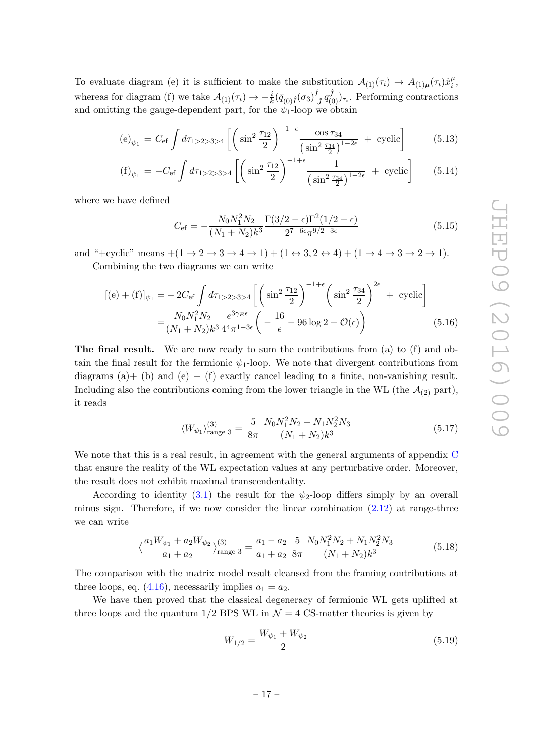To evaluate diagram (e) it is sufficient to make the substitution  $A_{(1)}(\tau_i) \to A_{(1)\mu}(\tau_i) \dot{x}_i^{\mu}$  $\frac{\mu}{i}$ whereas for diagram (f) we take  $\mathcal{A}_{(1)}(\tau_i) \to -\frac{i}{k} (\bar{q}_{(0)\hat{I}}(\sigma_3)^{\hat{I}})$  $(\hat{f}_j q_{(0)}^{\hat{J}})_{\tau_i}$ . Performing contractions and omitting the gauge-dependent part, for the  $\psi_1$ -loop we obtain

$$
\text{(e)}_{\psi_1} = C_{\text{ef}} \int d\tau_{1>2>3>4} \left[ \left( \sin^2 \frac{\tau_{12}}{2} \right)^{-1+\epsilon} \frac{\cos \tau_{34}}{\left( \sin^2 \frac{\tau_{34}}{2} \right)^{1-2\epsilon}} + \text{ cyclic} \right] \tag{5.13}
$$

$$
\text{(f)}_{\psi_1} = -C_{\text{ef}} \int d\tau_{1>2>3>4} \left[ \left( \sin^2 \frac{\tau_{12}}{2} \right)^{-1+\epsilon} \frac{1}{\left( \sin^2 \frac{\tau_{34}}{2} \right)^{1-2\epsilon}} + \text{ cyclic} \right] \tag{5.14}
$$

where we have defined

<span id="page-17-2"></span>
$$
C_{\text{ef}} = -\frac{N_0 N_1^2 N_2}{(N_1 + N_2)k^3} \frac{\Gamma(3/2 - \epsilon)\Gamma^2(1/2 - \epsilon)}{2^{7 - 6\epsilon} \pi^{9/2 - 3\epsilon}}\tag{5.15}
$$

and "+cyclic" means  $+(1 \rightarrow 2 \rightarrow 3 \rightarrow 4 \rightarrow 1) + (1 \leftrightarrow 3, 2 \leftrightarrow 4) + (1 \rightarrow 4 \rightarrow 3 \rightarrow 2 \rightarrow 1)$ .

Combining the two diagrams we can write

$$
[(e) + (f)]_{\psi_1} = -2C_{\text{ef}} \int d\tau_{1>2>3>4} \left[ \left( \sin^2 \frac{\tau_{12}}{2} \right)^{-1+\epsilon} \left( \sin^2 \frac{\tau_{34}}{2} \right)^{2\epsilon} + \text{ cyclic} \right]
$$

$$
= \frac{N_0 N_1^2 N_2}{(N_1 + N_2)k^3} \frac{e^{3\gamma_E \epsilon}}{4^4 \pi^{1-3\epsilon}} \left( -\frac{16}{\epsilon} - 96 \log 2 + \mathcal{O}(\epsilon) \right) \tag{5.16}
$$

The final result. We are now ready to sum the contributions from (a) to (f) and obtain the final result for the fermionic  $\psi_1$ -loop. We note that divergent contributions from diagrams (a)+ (b) and (e) + (f) exactly cancel leading to a finite, non-vanishing result. Including also the contributions coming from the lower triangle in the WL (the  $\mathcal{A}_{(2)}$  part), it reads

$$
\langle W_{\psi_1} \rangle_{\text{range 3}}^{(3)} = \frac{5}{8\pi} \frac{N_0 N_1^2 N_2 + N_1 N_2^2 N_3}{(N_1 + N_2)k^3} \tag{5.17}
$$

We note that this is a real result, in agreement with the general arguments of appendix [C](#page-25-0) that ensure the reality of the WL expectation values at any perturbative order. Moreover, the result does not exhibit maximal transcendentality.

According to identity [\(3.1\)](#page-7-2) the result for the  $\psi_2$ -loop differs simply by an overall minus sign. Therefore, if we now consider the linear combination  $(2.12)$  at range-three we can write

<span id="page-17-1"></span>
$$
\left\langle \frac{a_1 W_{\psi_1} + a_2 W_{\psi_2}}{a_1 + a_2} \right\rangle_{\text{range 3}}^{(3)} = \frac{a_1 - a_2}{a_1 + a_2} \frac{5}{8\pi} \frac{N_0 N_1^2 N_2 + N_1 N_2^2 N_3}{(N_1 + N_2)k^3}
$$
(5.18)

The comparison with the matrix model result cleansed from the framing contributions at three loops, eq.  $(4.16)$ , necessarily implies  $a_1 = a_2$ .

We have then proved that the classical degeneracy of fermionic WL gets uplifted at three loops and the quantum  $1/2$  BPS WL in  $\mathcal{N}=4$  CS-matter theories is given by

<span id="page-17-0"></span>
$$
W_{1/2} = \frac{W_{\psi_1} + W_{\psi_2}}{2} \tag{5.19}
$$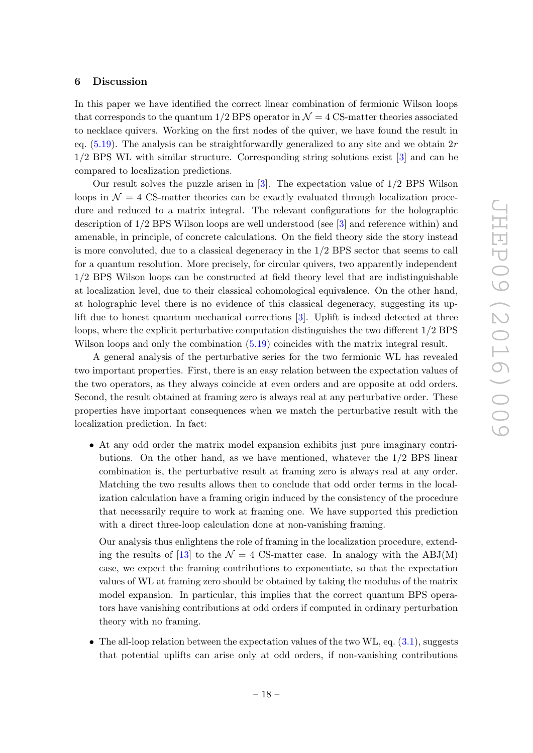#### <span id="page-18-0"></span>6 Discussion

In this paper we have identified the correct linear combination of fermionic Wilson loops that corresponds to the quantum  $1/2$  BPS operator in  $\mathcal{N}=4$  CS-matter theories associated to necklace quivers. Working on the first nodes of the quiver, we have found the result in eq.  $(5.19)$ . The analysis can be straightforwardly generalized to any site and we obtain  $2r$ 1/2 BPS WL with similar structure. Corresponding string solutions exist [\[3\]](#page-34-3) and can be compared to localization predictions.

Our result solves the puzzle arisen in [\[3\]](#page-34-3). The expectation value of 1/2 BPS Wilson loops in  $\mathcal{N} = 4$  CS-matter theories can be exactly evaluated through localization procedure and reduced to a matrix integral. The relevant configurations for the holographic description of 1/2 BPS Wilson loops are well understood (see [\[3\]](#page-34-3) and reference within) and amenable, in principle, of concrete calculations. On the field theory side the story instead is more convoluted, due to a classical degeneracy in the 1/2 BPS sector that seems to call for a quantum resolution. More precisely, for circular quivers, two apparently independent 1/2 BPS Wilson loops can be constructed at field theory level that are indistinguishable at localization level, due to their classical cohomological equivalence. On the other hand, at holographic level there is no evidence of this classical degeneracy, suggesting its uplift due to honest quantum mechanical corrections [\[3\]](#page-34-3). Uplift is indeed detected at three loops, where the explicit perturbative computation distinguishes the two different 1/2 BPS Wilson loops and only the combination  $(5.19)$  coincides with the matrix integral result.

A general analysis of the perturbative series for the two fermionic WL has revealed two important properties. First, there is an easy relation between the expectation values of the two operators, as they always coincide at even orders and are opposite at odd orders. Second, the result obtained at framing zero is always real at any perturbative order. These properties have important consequences when we match the perturbative result with the localization prediction. In fact:

• At any odd order the matrix model expansion exhibits just pure imaginary contributions. On the other hand, as we have mentioned, whatever the 1/2 BPS linear combination is, the perturbative result at framing zero is always real at any order. Matching the two results allows then to conclude that odd order terms in the localization calculation have a framing origin induced by the consistency of the procedure that necessarily require to work at framing one. We have supported this prediction with a direct three-loop calculation done at non-vanishing framing.

Our analysis thus enlightens the role of framing in the localization procedure, extend-ing the results of [\[13\]](#page-35-6) to the  $\mathcal{N} = 4$  CS-matter case. In analogy with the ABJ(M) case, we expect the framing contributions to exponentiate, so that the expectation values of WL at framing zero should be obtained by taking the modulus of the matrix model expansion. In particular, this implies that the correct quantum BPS operators have vanishing contributions at odd orders if computed in ordinary perturbation theory with no framing.

• The all-loop relation between the expectation values of the two WL, eq.  $(3.1)$ , suggests that potential uplifts can arise only at odd orders, if non-vanishing contributions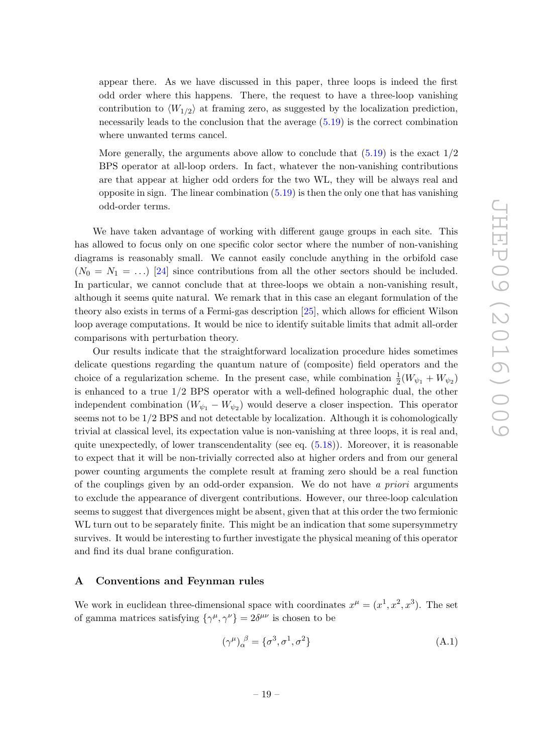appear there. As we have discussed in this paper, three loops is indeed the first odd order where this happens. There, the request to have a three-loop vanishing contribution to  $\langle W_{1/2} \rangle$  at framing zero, as suggested by the localization prediction, necessarily leads to the conclusion that the average [\(5.19\)](#page-17-0) is the correct combination where unwanted terms cancel.

More generally, the arguments above allow to conclude that  $(5.19)$  is the exact  $1/2$ BPS operator at all-loop orders. In fact, whatever the non-vanishing contributions are that appear at higher odd orders for the two WL, they will be always real and opposite in sign. The linear combination  $(5.19)$  is then the only one that has vanishing odd-order terms.

We have taken advantage of working with different gauge groups in each site. This has allowed to focus only on one specific color sector where the number of non-vanishing diagrams is reasonably small. We cannot easily conclude anything in the orbifold case  $(N_0 = N_1 = ...)$  [\[24\]](#page-35-14) since contributions from all the other sectors should be included. In particular, we cannot conclude that at three-loops we obtain a non-vanishing result, although it seems quite natural. We remark that in this case an elegant formulation of the theory also exists in terms of a Fermi-gas description [\[25\]](#page-35-15), which allows for efficient Wilson loop average computations. It would be nice to identify suitable limits that admit all-order comparisons with perturbation theory.

Our results indicate that the straightforward localization procedure hides sometimes delicate questions regarding the quantum nature of (composite) field operators and the choice of a regularization scheme. In the present case, while combination  $\frac{1}{2}(W_{\psi_1} + W_{\psi_2})$ is enhanced to a true 1/2 BPS operator with a well-defined holographic dual, the other independent combination  $(W_{\psi_1} - W_{\psi_2})$  would deserve a closer inspection. This operator seems not to be 1/2 BPS and not detectable by localization. Although it is cohomologically trivial at classical level, its expectation value is non-vanishing at three loops, it is real and, quite unexpectedly, of lower transcendentality (see eq.  $(5.18)$ ). Moreover, it is reasonable to expect that it will be non-trivially corrected also at higher orders and from our general power counting arguments the complete result at framing zero should be a real function of the couplings given by an odd-order expansion. We do not have a priori arguments to exclude the appearance of divergent contributions. However, our three-loop calculation seems to suggest that divergences might be absent, given that at this order the two fermionic WL turn out to be separately finite. This might be an indication that some supersymmetry survives. It would be interesting to further investigate the physical meaning of this operator and find its dual brane configuration.

#### <span id="page-19-0"></span>A Conventions and Feynman rules

We work in euclidean three-dimensional space with coordinates  $x^{\mu} = (x^1, x^2, x^3)$ . The set of gamma matrices satisfying  $\{\gamma^{\mu}, \gamma^{\nu}\} = 2\delta^{\mu\nu}$  is chosen to be

$$
(\gamma^{\mu})_{\alpha}^{\ \beta} = \{\sigma^3, \sigma^1, \sigma^2\} \tag{A.1}
$$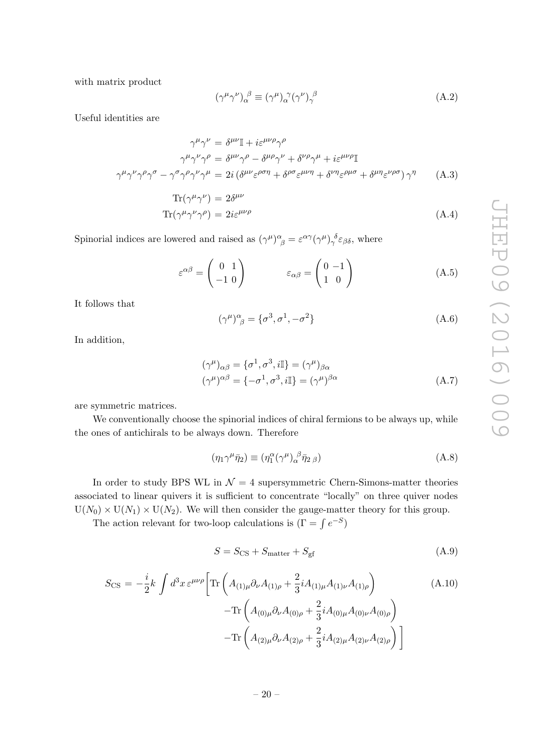with matrix product

<span id="page-20-0"></span>
$$
(\gamma^{\mu}\gamma^{\nu})_{\alpha}^{\ \beta} \equiv (\gamma^{\mu})_{\alpha}^{\ \gamma}(\gamma^{\nu})_{\gamma}^{\ \beta} \tag{A.2}
$$

Useful identities are

$$
\gamma^{\mu}\gamma^{\nu} = \delta^{\mu\nu}\mathbb{I} + i\varepsilon^{\mu\nu\rho}\gamma^{\rho}
$$

$$
\gamma^{\mu}\gamma^{\nu}\gamma^{\rho} = \delta^{\mu\nu}\gamma^{\rho} - \delta^{\mu\rho}\gamma^{\nu} + \delta^{\nu\rho}\gamma^{\mu} + i\varepsilon^{\mu\nu\rho}\mathbb{I}
$$

$$
\gamma^{\mu}\gamma^{\nu}\gamma^{\rho}\gamma^{\sigma} - \gamma^{\sigma}\gamma^{\rho}\gamma^{\nu}\gamma^{\mu} = 2i\left(\delta^{\mu\nu}\varepsilon^{\rho\sigma\eta} + \delta^{\rho\sigma}\varepsilon^{\mu\nu\eta} + \delta^{\nu\eta}\varepsilon^{\rho\mu\sigma} + \delta^{\mu\eta}\varepsilon^{\nu\rho\sigma}\right)\gamma^{\eta} \tag{A.3}
$$

$$
\text{Tr}(\gamma^{\mu}\gamma^{\nu}) = 2\delta^{\mu\nu} \n\text{Tr}(\gamma^{\mu}\gamma^{\nu}\gamma^{\rho}) = 2i\varepsilon^{\mu\nu\rho}
$$
\n(A.4)

Spinorial indices are lowered and raised as  $(\gamma^{\mu})^{\alpha}_{\beta} = \varepsilon^{\alpha\gamma}(\gamma^{\mu})^{\delta}_{\gamma}\varepsilon_{\beta\delta}$ , where

$$
\varepsilon^{\alpha\beta} = \begin{pmatrix} 0 & 1 \\ -1 & 0 \end{pmatrix} \qquad \varepsilon_{\alpha\beta} = \begin{pmatrix} 0 & -1 \\ 1 & 0 \end{pmatrix} \tag{A.5}
$$

It follows that

$$
(\gamma^{\mu})^{\alpha}_{\ \beta} = {\sigma^3, \sigma^1, -\sigma^2}
$$
 (A.6)

In addition,

$$
(\gamma^{\mu})_{\alpha\beta} = {\sigma^1, \sigma^3, i\mathbb{I}} = (\gamma^{\mu})_{\beta\alpha}
$$

$$
(\gamma^{\mu})^{\alpha\beta} = {-\sigma^1, \sigma^3, i\mathbb{I}} = (\gamma^{\mu})^{\beta\alpha}
$$
(A.7)

are symmetric matrices.

We conventionally choose the spinorial indices of chiral fermions to be always up, while the ones of antichirals to be always down. Therefore

$$
(\eta_1 \gamma^{\mu} \bar{\eta}_2) \equiv (\eta_1^{\alpha} (\gamma^{\mu})_{\alpha}^{\beta} \bar{\eta}_2 \,_{\beta}) \tag{A.8}
$$

In order to study BPS WL in  $\mathcal{N} = 4$  supersymmetric Chern-Simons-matter theories associated to linear quivers it is sufficient to concentrate "locally" on three quiver nodes  $U(N_0) \times U(N_1) \times U(N_2)$ . We will then consider the gauge-matter theory for this group.

The action relevant for two-loop calculations is  $(\Gamma = \int e^{-S})$ 

$$
S = S_{\text{CS}} + S_{\text{matter}} + S_{\text{gf}} \tag{A.9}
$$

<span id="page-20-1"></span>
$$
S_{\text{CS}} = -\frac{i}{2}k \int d^3x \,\varepsilon^{\mu\nu\rho} \bigg[ \text{Tr} \left( A_{(1)\mu} \partial_{\nu} A_{(1)\rho} + \frac{2}{3} i A_{(1)\mu} A_{(1)\nu} A_{(1)\rho} \right) \qquad (A.10)
$$

$$
- \text{Tr} \left( A_{(0)\mu} \partial_{\nu} A_{(0)\rho} + \frac{2}{3} i A_{(0)\mu} A_{(0)\nu} A_{(0)\rho} \right) \qquad - \text{Tr} \left( A_{(2)\mu} \partial_{\nu} A_{(2)\rho} + \frac{2}{3} i A_{(2)\mu} A_{(2)\nu} A_{(2)\rho} \right) \bigg]
$$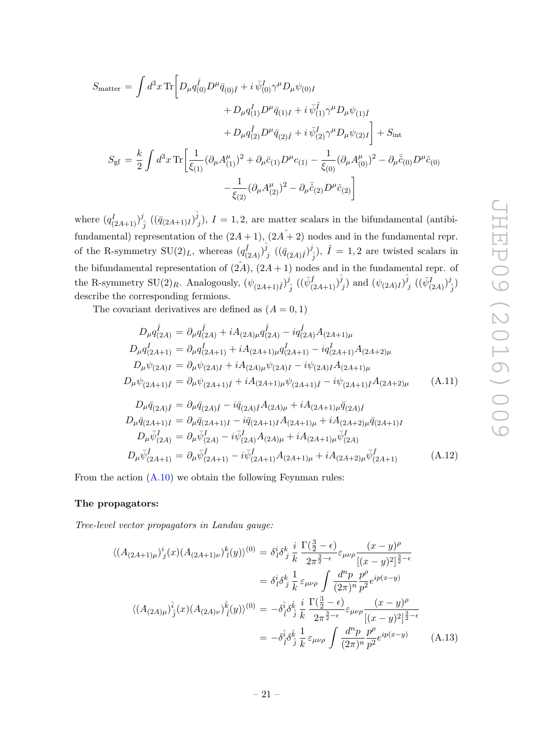$$
S_{\text{matter}} = \int d^3x \,\text{Tr} \bigg[ D_{\mu} q_{(0)}^{\hat{i}} D^{\mu} \bar{q}_{(0)\hat{i}} + i \,\bar{\psi}_{(0)}^{\hat{i}} \gamma^{\mu} D_{\mu} \psi_{(0)I} + D_{\mu} q_{(1)}^{\hat{i}} D^{\mu} \bar{q}_{(1)I} + i \,\bar{\psi}_{(1)}^{\hat{i}} \gamma^{\mu} D_{\mu} \psi_{(1)\hat{i}} + D_{\mu} q_{(2)}^{\hat{i}} D^{\mu} \bar{q}_{(2)\hat{i}} + i \,\bar{\psi}_{(2)}^{\hat{i}} \gamma^{\mu} D_{\mu} \psi_{(2)I} \bigg] + S_{\text{int}} S_{\text{gf}} = \frac{k}{2} \int d^3x \,\text{Tr} \bigg[ \frac{1}{\xi_{(1)}} (\partial_{\mu} A_{(1)}^{\mu})^2 + \partial_{\mu} \bar{c}_{(1)} D^{\mu} c_{(1)} - \frac{1}{\xi_{(0)}} (\partial_{\mu} A_{(0)}^{\mu})^2 - \partial_{\mu} \bar{\hat{c}}_{(0)} D^{\mu} \hat{c}_{(0)} - \frac{1}{\xi_{(2)}} (\partial_{\mu} A_{(2)}^{\mu})^2 - \partial_{\mu} \bar{\hat{c}}_{(2)} D^{\mu} \hat{c}_{(2)} \bigg]
$$

where  $(q_{(2A+1)}^I)^j$  $\begin{array}{c} \hat{g} \ \hat{j} \end{array} \left((\bar{q}_{(2A+1)I})\hat{\hat{j}}\right)$  $j_j$ ),  $I = 1, 2$ , are matter scalars in the bifundamental (antibifundamental) representation of the  $(2A + 1)$ ,  $(2A + 2)$  nodes and in the fundamental repr. of the R-symmetry  $\text{SU}(2)_L$ , whereas  $(q_{(2A)}^{\hat{I}})^{\hat{j}}$  $\begin{array}{c} \bar{j} \ j \end{array} \left( (\bar{q}_{(2A)\hat{I}})^{j} \right)$  $(\hat{j}_j), \hat{I} = 1, 2$  are twisted scalars in the bifundamental representation of  $(2A)$ ,  $(2A + 1)$  nodes and in the fundamental repr. of the R-symmetry SU(2)<sub>R</sub>. Analogously,  $(\psi_{(2A+1)\hat{I}})^{j}$  $\begin{array}{c} \hat{j} \ \hat{j} \end{array} \big( (\bar{\psi}^{\hat{I}}_{(2A+1)})^{\hat{j}} \big)$  $(\dot{\psi}_{(2A)I})^{\hat{j}}$  $j\in ((\bar{\psi}^I_{(2A)})^j$  $\binom{j}{j}$ describe the corresponding fermions.

The covariant derivatives are defined as  $(A = 0, 1)$ 

$$
D_{\mu}q_{(2A)}^{\hat{i}} = \partial_{\mu}q_{(2A)}^{\hat{i}} + iA_{(2A)\mu}q_{(2A)}^{\hat{i}} - iq_{(2A)}^{\hat{i}}A_{(2A+1)\mu}
$$
  
\n
$$
D_{\mu}q_{(2A+1)}^{\hat{i}} = \partial_{\mu}q_{(2A+1)}^{\hat{i}} + iA_{(2A+1)\mu}q_{(2A+1)}^{\hat{i}} - iq_{(2A+1)}^{\hat{i}}A_{(2A+2)\mu}
$$
  
\n
$$
D_{\mu}\psi_{(2A)I} = \partial_{\mu}\psi_{(2A)I} + iA_{(2A)\mu}\psi_{(2A)I} - i\psi_{(2A)I}A_{(2A+1)\mu}
$$
  
\n
$$
D_{\mu}\psi_{(2A+1)\hat{i}} = \partial_{\mu}\psi_{(2A+1)\hat{i}} + iA_{(2A+1)\mu}\psi_{(2A+1)\hat{i}} - i\psi_{(2A+1)\hat{i}}A_{(2A+2)\mu}
$$
  
\n
$$
D_{\mu}\bar{q}_{(2A)\hat{i}} = \partial_{\mu}\bar{q}_{(2A)\hat{i}} - i\bar{q}_{(2A)\hat{i}}A_{(2A)\mu} + iA_{(2A+1)\mu}\bar{q}_{(2A)\hat{i}}
$$
  
\n
$$
D_{\mu}\bar{q}_{(2A+1)I} = \partial_{\mu}\bar{q}_{(2A+1)I} - i\bar{q}_{(2A+1)I}A_{(2A+1)\mu} + iA_{(2A+2)\mu}\bar{q}_{(2A+1)I}
$$
 (A.11)

$$
D_{\mu}\bar{\psi}_{(2A)}^{I} = \partial_{\mu}\bar{\psi}_{(2A)}^{I} - i\bar{\psi}_{(2A)}^{I}A_{(2A)\mu} + iA_{(2A+1)\mu}\bar{\psi}_{(2A)}^{I}
$$
  
\n
$$
D_{\mu}\bar{\psi}_{(2A+1)}^{\hat{I}} = \partial_{\mu}\bar{\psi}_{(2A+1)}^{\hat{I}} - i\bar{\psi}_{(2A+1)}^{\hat{I}}A_{(2A+1)\mu} + iA_{(2A+2)\mu}\bar{\psi}_{(2A+1)}^{\hat{I}}
$$
(A.12)

From the action [\(A.10\)](#page-20-1) we obtain the following Feynman rules:

## The propagators:

Tree-level vector propagators in Landau gauge:

<span id="page-21-0"></span>
$$
\langle (A_{(2A+1)\mu})^i_j(x)(A_{(2A+1)\nu})^k_l(y)\rangle^{(0)} = \delta^i_l \delta^k_j \frac{i}{k} \frac{\Gamma(\frac{3}{2}-\epsilon)}{2\pi^{\frac{3}{2}-\epsilon}} \varepsilon_{\mu\nu\rho} \frac{(x-y)^{\rho}}{[(x-y)^2]^{\frac{3}{2}-\epsilon}} \n= \delta^i_l \delta^k_j \frac{1}{k} \varepsilon_{\mu\nu\rho} \int \frac{d^n p}{(2\pi)^n} \frac{p^{\rho}}{p^2} e^{ip(x-y)} \n\langle (A_{(2A)\mu})^i_j(x)(A_{(2A)\nu})^k_l(y)\rangle^{(0)} = -\delta^i_l \delta^k_j \frac{i}{k} \frac{\Gamma(\frac{3}{2}-\epsilon)}{2\pi^{\frac{3}{2}-\epsilon}} \varepsilon_{\mu\nu\rho} \frac{(x-y)^{\rho}}{[(x-y)^2]^{\frac{3}{2}-\epsilon}} \n= -\delta^i_l \delta^k_j \frac{1}{k} \varepsilon_{\mu\nu\rho} \int \frac{d^n p}{(2\pi)^n} \frac{p^{\rho}}{p^2} e^{ip(x-y)} \qquad (A.13)
$$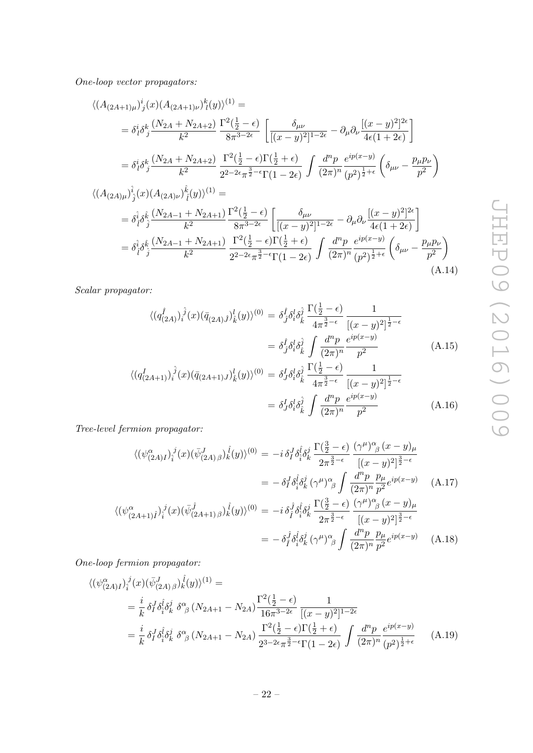One-loop vector propagators:

<span id="page-22-1"></span>
$$
\langle (A_{(2A+1)\mu})^i_j(x)(A_{(2A+1)\nu})^k_l(y)\rangle^{(1)} =
$$
\n
$$
= \delta^i_l \delta^k_j \frac{(N_{2A} + N_{2A+2})}{k^2} \frac{\Gamma^2(\frac{1}{2} - \epsilon)}{8\pi^{3-2\epsilon}} \left[ \frac{\delta_{\mu\nu}}{[(x - y)^2]^{1-2\epsilon}} - \partial_\mu \partial_\nu \frac{[(x - y)^2]^{2\epsilon}}{4\epsilon(1 + 2\epsilon)} \right]
$$
\n
$$
= \delta^i_l \delta^k_j \frac{(N_{2A} + N_{2A+2})}{k^2} \frac{\Gamma^2(\frac{1}{2} - \epsilon)\Gamma(\frac{1}{2} + \epsilon)}{2^{2-2\epsilon}\pi^{\frac{3}{2} - \epsilon}\Gamma(1 - 2\epsilon)} \int \frac{d^n p}{(2\pi)^n} \frac{e^{ip(x - y)}}{(p^2)^{\frac{1}{2} + \epsilon}} \left( \delta_{\mu\nu} - \frac{p_\mu p_\nu}{p^2} \right)
$$
\n
$$
\langle (A_{(2A)\mu})^i_j(x)(A_{(2A)\nu})^k_i(y)\rangle^{(1)} =
$$
\n
$$
= \delta^i_l \delta^k_j \frac{(N_{2A-1} + N_{2A+1}) \Gamma^2(\frac{1}{2} - \epsilon)}{k^2} \left[ \frac{\delta_{\mu\nu}}{[(x - y)^2]^{1-2\epsilon}} - \partial_\mu \partial_\nu \frac{[(x - y)^2]^{2\epsilon}}{4\epsilon(1 + 2\epsilon)} \right]
$$
\n
$$
= \delta^i_l \delta^k_j \frac{(N_{2A-1} + N_{2A+1}) \Gamma^2(\frac{1}{2} - \epsilon)\Gamma(\frac{1}{2} + \epsilon)}{2^{2-2\epsilon}\pi^{\frac{3}{2} - \epsilon}\Gamma(1 - 2\epsilon)} \int \frac{d^n p}{(2\pi)^n} \frac{e^{ip(x - y)}}{(p^2)^{\frac{1}{2} + \epsilon}} \left( \delta_{\mu\nu} - \frac{p_\mu p_\nu}{p^2} \right)
$$
\n(A.14)

Scalar propagator:

$$
\langle (q_{(2A)}^{\hat{i}})^{\hat{j}}(x)(\bar{q}_{(2A)\hat{j}})^{l}_{\hat{k}}(y)\rangle^{(0)} = \delta^{\hat{i}}_{\hat{j}}\delta^{\hat{l}}_{\hat{i}}\delta^{\hat{j}}_{\hat{k}}\frac{\Gamma(\frac{1}{2}-\epsilon)}{4\pi^{\frac{3}{2}-\epsilon}}\frac{1}{[(x-y)^{2}]^{\frac{1}{2}-\epsilon}}
$$

$$
= \delta^{\hat{i}}_{\hat{j}}\delta^{\hat{l}}_{\hat{i}}\delta^{\hat{j}}_{\hat{k}}\int \frac{d^{n}p}{(2\pi)^{n}}\frac{e^{ip(x-y)}}{p^{2}} \tag{A.15}
$$

$$
\langle (q_{(2A+1)}^I)^{\hat{j}}(x)(\bar{q}_{(2A+1)J})^l_{\hat{k}}(y) \rangle^{(0)} = \delta^I_{J} \delta^l_{\hat{i}} \delta^{\hat{j}}_{\hat{k}} \frac{\Gamma(\frac{1}{2} - \epsilon)}{4\pi^{\frac{3}{2} - \epsilon}} \frac{1}{[(x - y)^2]^{\frac{1}{2} - \epsilon}}
$$
  
=  $\delta^I_{J} \delta^l_{\hat{i}} \delta^{\hat{j}}_{\hat{k}} \int \frac{d^n p}{(2\pi)^n} \frac{e^{ip(x - y)}}{p^2}$  (A.16)

Tree-level fermion propagator:

<span id="page-22-0"></span>
$$
\langle (\psi^{\alpha}_{(2A)I})^j_i(x) (\bar{\psi}^J_{(2A)\beta})^j_k(y) \rangle^{(0)} = -i \, \delta^J_I \delta^{\hat{i}}_{\hat{\gamma}} \delta^j_k \frac{\Gamma(\frac{3}{2} - \epsilon)}{2\pi^{\frac{3}{2} - \epsilon}} \frac{(\gamma^{\mu})^{\alpha}_{\beta} (x - y)_{\mu}}{[(x - y)^2]^{\frac{3}{2} - \epsilon}} \n= -\delta^J_I \delta^{\hat{i}}_{\hat{\gamma}} \delta^j_k (\gamma^{\mu})^{\alpha}_{\beta} \int \frac{d^n p}{(2\pi)^n} \frac{p_{\mu}}{p^2} e^{ip(x - y)} \qquad (A.17)
$$
\n
$$
\langle (\psi^{\alpha}_{(2A+1)\hat{I}})^j_i(x) (\bar{\psi}^j_{(2A+1)\beta})^j_k(y) \rangle^{(0)} = -i \, \delta^{\hat{j}}_{\hat{\gamma}} \delta^{\hat{i}}_{\hat{\gamma}} \delta^j_k \frac{\Gamma(\frac{3}{2} - \epsilon)}{2\pi^{\frac{3}{2} - \epsilon}} \frac{(\gamma^{\mu})^{\alpha}_{\beta} (x - y)_{\mu}}{[(x - y)^2]^{\frac{3}{2} - \epsilon}} \n= -\delta^{\hat{j}}_{\hat{I}} \delta^{\hat{i}}_{\hat{\gamma}} \delta^j_k (\gamma^{\mu})^{\alpha}_{\beta} \int \frac{d^n p}{(2\pi)^n} \frac{p_{\mu}}{p^2} e^{ip(x - y)} \qquad (A.18)
$$

One-loop fermion propagator:

$$
\langle (\psi_{(2A)I}^{\alpha})_{\hat{i}}^{\ j}(x)(\bar{\psi}_{(2A)\beta}^{J})_{k}^{\ \hat{i}}(y)\rangle^{(1)} =
$$
  
\n
$$
= \frac{i}{k} \delta_{I}^{J} \delta_{\hat{i}}^{\hat{i}} \delta_{k}^{\dot{j}} \delta_{\beta}^{\alpha} (N_{2A+1} - N_{2A}) \frac{\Gamma^{2}(\frac{1}{2} - \epsilon)}{16\pi^{3 - 2\epsilon}} \frac{1}{[(x - y)^{2}]^{1 - 2\epsilon}}
$$
  
\n
$$
= \frac{i}{k} \delta_{I}^{J} \delta_{\hat{i}}^{\hat{i}} \delta_{k}^{\dot{j}} \delta_{\beta}^{\alpha} (N_{2A+1} - N_{2A}) \frac{\Gamma^{2}(\frac{1}{2} - \epsilon)\Gamma(\frac{1}{2} + \epsilon)}{2^{3 - 2\epsilon}\pi^{\frac{3}{2} - \epsilon}\Gamma(1 - 2\epsilon)} \int \frac{d^{n}p}{(2\pi)^{n}} \frac{e^{ip(x - y)}}{(p^{2})^{\frac{1}{2} + \epsilon}} \qquad (A.19)
$$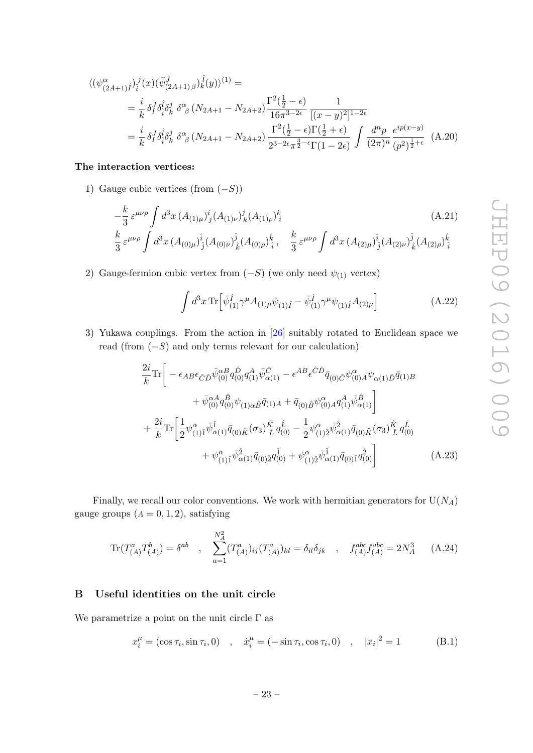$$
\langle (\psi^{\alpha}_{(2A+1)\hat{I}})^{j}_{\hat{i}}(x)(\bar{\psi}^{\hat{j}}_{(2A+1)\beta})^{\hat{i}}(y)\rangle^{(1)} =
$$
\n
$$
= \frac{i}{k} \delta_{I}^{J} \delta_{\hat{i}}^{\hat{i}} \delta_{k}^{j} \delta_{\beta}^{\alpha} (N_{2A+1} - N_{2A+2}) \frac{\Gamma^{2}(\frac{1}{2} - \epsilon)}{16\pi^{3 - 2\epsilon}} \frac{1}{[(x - y)^{2}]^{1 - 2\epsilon}}
$$
\n
$$
= \frac{i}{k} \delta_{I}^{J} \delta_{\hat{i}}^{\hat{i}} \delta_{k}^{j} \delta_{\beta}^{\alpha} (N_{2A+1} - N_{2A+2}) \frac{\Gamma^{2}(\frac{1}{2} - \epsilon)\Gamma(\frac{1}{2} + \epsilon)}{2^{3 - 2\epsilon}\pi^{\frac{3}{2} - \epsilon}\Gamma(1 - 2\epsilon)} \int \frac{d^{n}p}{(2\pi)^{n}} \frac{e^{ip(x - y)}}{(p^{2})^{\frac{1}{2} + \epsilon}} (A.20)
$$

## The interaction vertices:

1) Gauge cubic vertices (from  $(-S)$ )

$$
-\frac{k}{3} \varepsilon^{\mu\nu\rho} \int d^3x \, (A_{(1)\mu})^i{}_j (A_{(1)\nu})^j{}_k (A_{(1)\rho})^k{}_i
$$
\n
$$
\frac{k}{3} \varepsilon^{\mu\nu\rho} \int d^3x \, (A_{(0)\mu})^i{}_j (A_{(0)\nu})^j{}_k (A_{(0)\rho})^k{}_i , \quad \frac{k}{3} \varepsilon^{\mu\nu\rho} \int d^3x \, (A_{(2)\mu})^i{}_j (A_{(2)\nu})^j{}_k (A_{(2)\rho})^k{}_i
$$
\n(A.21)

2) Gauge-fermion cubic vertex from  $(-S)$  (we only need  $\psi_{(1)}$  vertex)

<span id="page-23-2"></span><span id="page-23-1"></span>
$$
\int d^3x \,\text{Tr}\Big[\bar{\psi}_{(1)}^{\hat{I}}\gamma^{\mu}A_{(1)\mu}\psi_{(1)\hat{I}} - \bar{\psi}_{(1)}^{\hat{I}}\gamma^{\mu}\psi_{(1)\hat{I}}A_{(2)\mu}\Big]
$$
(A.22)

3) Yukawa couplings. From the action in [\[26\]](#page-35-16) suitably rotated to Euclidean space we read (from  $(-S)$ ) and only terms relevant for our calculation)

$$
\frac{2i}{k} \text{Tr} \left[ -\epsilon_{AB} \epsilon_{\hat{C}\hat{D}} \bar{\psi}_{(0)}^{aB} q_{(0)}^{\hat{D}} q_{(1)}^A \bar{\psi}_{\alpha(1)}^{\hat{C}} - \epsilon^{AB} \epsilon^{\hat{C}\hat{D}} \bar{q}_{(0)\hat{C}} \psi_{(0)A}^{\alpha} \psi_{\alpha(1)\hat{D}} \bar{q}_{(1)B} \right. \\
\left. + \bar{\psi}_{(0)}^{\alpha A} q_{(0)}^{\hat{B}} \psi_{(1)\alpha\hat{B}} \bar{q}_{(1)A} + \bar{q}_{(0)\hat{B}} \psi_{(0)A}^{\alpha} q_{(1)}^A \bar{\psi}_{\alpha(1)}^{\hat{B}} \right] \\
+ \frac{2i}{k} \text{Tr} \left[ \frac{1}{2} \psi_{(1)\hat{1}}^{\alpha} \bar{\psi}_{\alpha(1)}^{\hat{1}} \bar{q}_{(0)\hat{K}} (\sigma_3) \frac{\hat{\kappa}}{\hat{L}} q_{(0)}^{\hat{L}} - \frac{1}{2} \psi_{(1)\hat{2}}^{\alpha} \bar{\psi}_{\alpha(1)}^{\hat{2}} \bar{q}_{(0)\hat{K}} (\sigma_3) \frac{\hat{\kappa}}{\hat{L}} q_{(0)}^{\hat{L}} \\
+ \psi_{(1)\hat{1}}^{\alpha} \bar{\psi}_{\alpha(1)}^{\hat{2}} \bar{q}_{(0)\hat{2}} q_{(0)}^{\hat{1}} + \psi_{(1)\hat{2}}^{\alpha} \bar{\psi}_{\alpha(1)}^{\hat{1}} \bar{q}_{(0)\hat{1}} q_{(0)}^{\hat{2}} \right] \tag{A.23}
$$

Finally, we recall our color conventions. We work with hermitian generators for  $U(N_A)$ gauge groups  $(A = 0, 1, 2)$ , satisfying

$$
\text{Tr}(T_{(A)}^a T_{(A)}^b) = \delta^{ab} \quad , \quad \sum_{a=1}^{N_A^2} (T_{(A)}^a)_{ij} (T_{(A)}^a)_{kl} = \delta_{il} \delta_{jk} \quad , \quad f_{(A)}^{abc} f_{(A)}^{abc} = 2N_A^3 \quad (A.24)
$$

## <span id="page-23-0"></span>B Useful identities on the unit circle

We parametrize a point on the unit circle  $\Gamma$  as

$$
x_i^{\mu} = (\cos \tau_i, \sin \tau_i, 0) \quad , \quad \dot{x}_i^{\mu} = (-\sin \tau_i, \cos \tau_i, 0) \quad , \quad |x_i|^2 = 1 \tag{B.1}
$$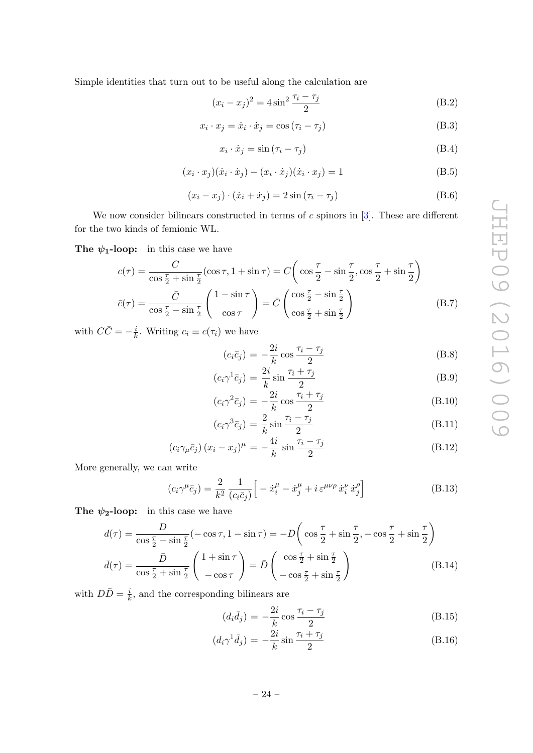Simple identities that turn out to be useful along the calculation are

$$
(x_i - x_j)^2 = 4\sin^2\frac{\tau_i - \tau_j}{2}
$$
 (B.2)

$$
x_i \cdot x_j = \dot{x}_i \cdot \dot{x}_j = \cos(\tau_i - \tau_j)
$$
 (B.3)

$$
x_i \cdot \dot{x}_j = \sin\left(\tau_i - \tau_j\right) \tag{B.4}
$$

$$
(x_i \cdot x_j)(\dot{x}_i \cdot \dot{x}_j) - (x_i \cdot \dot{x}_j)(\dot{x}_i \cdot x_j) = 1
$$
\n(B.5)

$$
(x_i - x_j) \cdot (\dot{x}_i + \dot{x}_j) = 2\sin(\tau_i - \tau_j)
$$
\n(B.6)

We now consider bilinears constructed in terms of  $c$  spinors in  $[3]$ . These are different for the two kinds of femionic WL.

The  $\psi_1$ -loop: in this case we have

<span id="page-24-0"></span>
$$
c(\tau) = \frac{C}{\cos\frac{\tau}{2} + \sin\frac{\tau}{2}} (\cos\tau, 1 + \sin\tau) = C \left( \cos\frac{\tau}{2} - \sin\frac{\tau}{2}, \cos\frac{\tau}{2} + \sin\frac{\tau}{2} \right)
$$

$$
\bar{c}(\tau) = \frac{\bar{C}}{\cos\frac{\tau}{2} - \sin\frac{\tau}{2}} \begin{pmatrix} 1 - \sin\tau \\ \cos\tau \end{pmatrix} = \bar{C} \begin{pmatrix} \cos\frac{\tau}{2} - \sin\frac{\tau}{2} \\ \cos\frac{\tau}{2} + \sin\frac{\tau}{2} \end{pmatrix}
$$
(B.7)

with  $C\bar{C} = -\frac{i}{k}$  $\frac{i}{k}$ . Writing  $c_i \equiv c(\tau_i)$  we have

<span id="page-24-2"></span>
$$
(c_i\bar{c}_j) = -\frac{2i}{k}\cos\frac{\tau_i - \tau_j}{2}
$$
 (B.8)

$$
(c_i \gamma^1 \bar{c}_j) = \frac{2i}{k} \sin \frac{\tau_i + \tau_j}{2}
$$
 (B.9)

$$
(c_i \gamma^2 \bar{c}_j) = -\frac{2i}{k} \cos \frac{\tau_i + \tau_j}{2}
$$
 (B.10)

$$
(c_i \gamma^3 \bar{c}_j) = \frac{2}{k} \sin \frac{\tau_i - \tau_j}{2}
$$
 (B.11)

$$
\left(c_i \gamma_\mu \bar{c}_j\right) (x_i - x_j)^\mu = -\frac{4i}{k} \sin \frac{\tau_i - \tau_j}{2} \tag{B.12}
$$

More generally, we can write

$$
(c_i \gamma^{\mu} \bar{c}_j) = \frac{2}{k^2} \frac{1}{(c_i \bar{c}_j)} \left[ -\dot{x}_i^{\mu} - \dot{x}_j^{\mu} + i \varepsilon^{\mu \nu \rho} \dot{x}_i^{\nu} \dot{x}_j^{\rho} \right]
$$
(B.13)

The  $\psi_2$ -loop: in this case we have

<span id="page-24-1"></span>
$$
d(\tau) = \frac{D}{\cos\frac{\tau}{2} - \sin\frac{\tau}{2}} (-\cos\tau, 1 - \sin\tau) = -D\left(\cos\frac{\tau}{2} + \sin\frac{\tau}{2}, -\cos\frac{\tau}{2} + \sin\frac{\tau}{2}\right)
$$

$$
\bar{d}(\tau) = \frac{\bar{D}}{\cos\frac{\tau}{2} + \sin\frac{\tau}{2}} \begin{pmatrix} 1 + \sin\tau \\ -\cos\tau \end{pmatrix} = \bar{D}\begin{pmatrix} \cos\frac{\tau}{2} + \sin\frac{\tau}{2} \\ -\cos\frac{\tau}{2} + \sin\frac{\tau}{2} \end{pmatrix}
$$
(B.14)

with  $D\bar{D} = \frac{i}{k}$  $\frac{i}{k}$ , and the corresponding bilinears are

<span id="page-24-3"></span>
$$
(d_i \bar{d}_j) = -\frac{2i}{k} \cos \frac{\tau_i - \tau_j}{2}
$$
\n(B.15)

$$
(d_i \gamma^1 \bar{d}_j) = -\frac{2i}{k} \sin \frac{\tau_i + \tau_j}{2}
$$
 (B.16)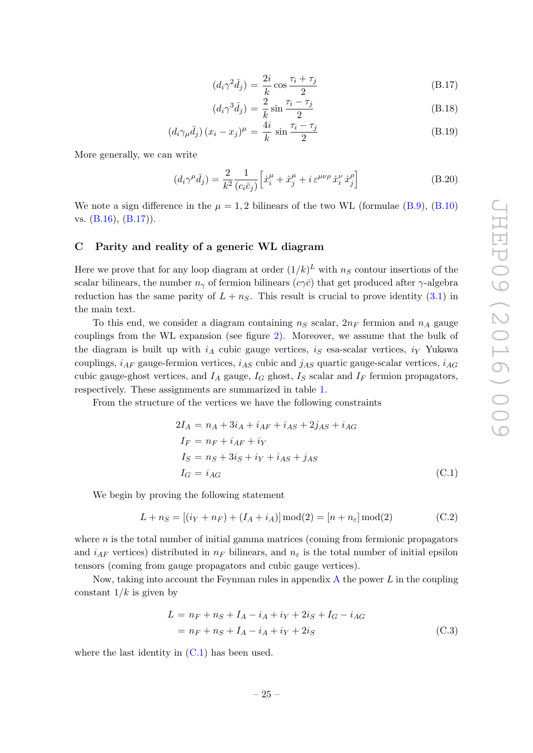$$
(d_i \gamma^2 \bar{d}_j) = \frac{2i}{k} \cos \frac{\tau_i + \tau_j}{2}
$$
 (B.17)

$$
(d_i \gamma^3 \bar{d}_j) = \frac{2}{k} \sin \frac{\tau_i - \tau_j}{2}
$$
 (B.18)

$$
\left(d_i\gamma_\mu \bar{d}_j\right)(x_i - x_j)^\mu = \frac{4i}{k}\sin\frac{\tau_i - \tau_j}{2} \tag{B.19}
$$

More generally, we can write

$$
(d_i\gamma^{\mu}\bar{d}_j) = \frac{2}{k^2} \frac{1}{(c_i\bar{c}_j)} \left[ \dot{x}_i^{\mu} + \dot{x}_j^{\mu} + i \,\varepsilon^{\mu\nu\rho} \,\dot{x}_i^{\nu} \,\dot{x}_j^{\rho} \right]
$$
(B.20)

We note a sign difference in the  $\mu = 1, 2$  bilinears of the two WL (formulae [\(B.9\)](#page-24-2), [\(B.10\)](#page-24-2) vs. [\(B.16\)](#page-24-3), [\(B.17\)](#page-24-3)).

#### <span id="page-25-0"></span>C Parity and reality of a generic WL diagram

Here we prove that for any loop diagram at order  $(1/k)^L$  with  $n_S$  contour insertions of the scalar bilinears, the number  $n_{\gamma}$  of fermion bilinears  $(c\gamma\bar{c})$  that get produced after  $\gamma$ -algebra reduction has the same parity of  $L + n<sub>S</sub>$ . This result is crucial to prove identity [\(3.1\)](#page-7-2) in the main text.

To this end, we consider a diagram containing  $n_S$  scalar,  $2n_F$  fermion and  $n_A$  gauge couplings from the WL expansion (see figure [2\)](#page-8-0). Moreover, we assume that the bulk of the diagram is built up with  $i_A$  cubic gauge vertices,  $i_S$  esa-scalar vertices,  $i_Y$  Yukawa couplings,  $i_{AF}$  gauge-fermion vertices,  $i_{AS}$  cubic and  $j_{AS}$  quartic gauge-scalar vertices,  $i_{AG}$ cubic gauge-ghost vertices, and  $I_A$  gauge,  $I_G$  ghost,  $I_S$  scalar and  $I_F$  fermion propagators, respectively. These assignments are summarized in table [1.](#page-26-0)

From the structure of the vertices we have the following constraints

<span id="page-25-1"></span>
$$
2I_A = n_A + 3i_A + i_{AF} + i_{AS} + 2j_{AS} + i_{AG}
$$
  
\n
$$
I_F = n_F + i_{AF} + i_Y
$$
  
\n
$$
I_S = n_S + 3i_S + i_Y + i_{AS} + j_{AS}
$$
  
\n
$$
I_G = i_{AG}
$$
\n(C.1)

We begin by proving the following statement

<span id="page-25-3"></span>
$$
L + n_S = [(i_Y + n_F) + (I_A + i_A)] \mod (2) = [n + n_{\varepsilon}] \mod (2)
$$
 (C.2)

where  $n$  is the total number of initial gamma matrices (coming from fermionic propagators and  $i_{AF}$  vertices) distributed in  $n_F$  bilinears, and  $n_{\epsilon}$  is the total number of initial epsilon tensors (coming from gauge propagators and cubic gauge vertices).

Now, taking into account the Feynman rules in appendix  $A$  the power  $L$  in the coupling constant  $1/k$  is given by

<span id="page-25-2"></span>
$$
L = n_F + n_S + I_A - i_A + i_Y + 2i_S + I_G - i_{AG}
$$
  
=  $n_F + n_S + I_A - i_A + i_Y + 2i_S$  (C.3)

where the last identity in  $(C.1)$  has been used.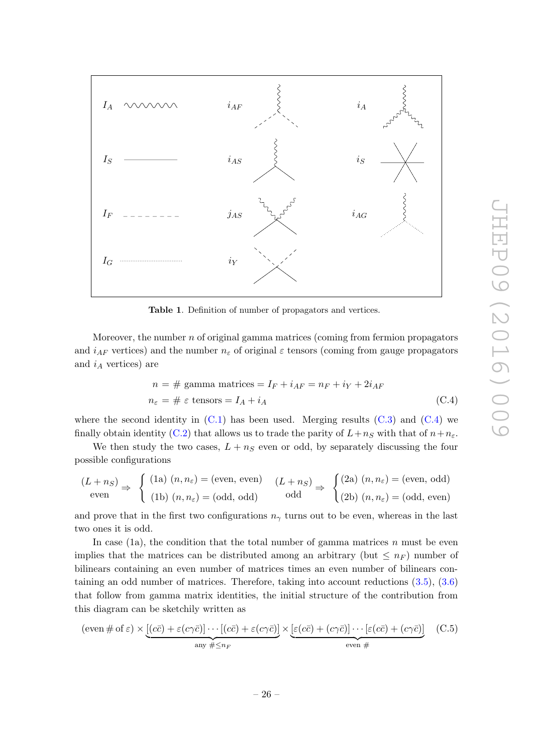

<span id="page-26-0"></span>Table 1. Definition of number of propagators and vertices.

Moreover, the number  $n$  of original gamma matrices (coming from fermion propagators and  $i_{AF}$  vertices) and the number  $n_{\varepsilon}$  of original  $\varepsilon$  tensors (coming from gauge propagators and  $i_A$  vertices) are

<span id="page-26-1"></span>
$$
n = # gamma matrices = IF + iAF = nF + iY + 2iAF
$$
  

$$
n\varepsilon = # \varepsilon tensors = IA + iA
$$
 (C.4)

where the second identity in  $(C.1)$  has been used. Merging results  $(C.3)$  and  $(C.4)$  we finally obtain identity [\(C.2\)](#page-25-3) that allows us to trade the parity of  $L+n_S$  with that of  $n+n_{\varepsilon}$ .

We then study the two cases,  $L + n<sub>S</sub>$  even or odd, by separately discussing the four possible configurations

$$
(L + n_S) \Rightarrow \begin{cases} (1a) (n, n_{\varepsilon}) = (\text{even, even}) & (L + n_S) \Rightarrow \begin{cases} (2a) (n, n_{\varepsilon}) = (\text{even, odd}) \\ (1b) (n, n_{\varepsilon}) = (\text{odd, odd}) \end{cases} & \text{odd} \end{cases}
$$

and prove that in the first two configurations  $n<sub>\gamma</sub>$  turns out to be even, whereas in the last two ones it is odd.

In case (1a), the condition that the total number of gamma matrices n must be even implies that the matrices can be distributed among an arbitrary (but  $\leq n_F$ ) number of bilinears containing an even number of matrices times an even number of bilinears containing an odd number of matrices. Therefore, taking into account reductions [\(3.5\)](#page-8-3), [\(3.6\)](#page-8-3) that follow from gamma matrix identities, the initial structure of the contribution from this diagram can be sketchily written as

<span id="page-26-2"></span>
$$
(\text{even} \# \text{ of } \varepsilon) \times \underbrace{[(c\bar{c}) + \varepsilon(c\gamma\bar{c})] \cdots [(c\bar{c}) + \varepsilon(c\gamma\bar{c})]}_{\text{any} \# \leq n_F} \times \underbrace{[\varepsilon(c\bar{c}) + (c\gamma\bar{c})] \cdots [\varepsilon(c\bar{c}) + (c\gamma\bar{c})]}_{\text{even} \#} \quad (C.5)
$$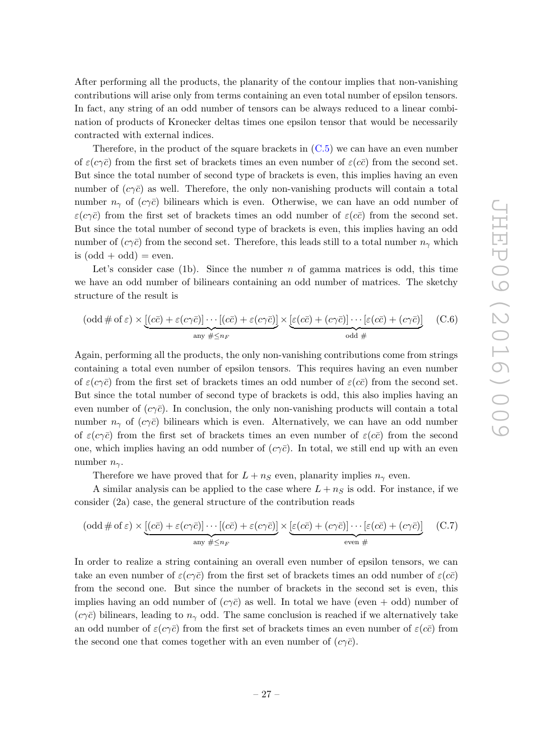After performing all the products, the planarity of the contour implies that non-vanishing contributions will arise only from terms containing an even total number of epsilon tensors. In fact, any string of an odd number of tensors can be always reduced to a linear combination of products of Kronecker deltas times one epsilon tensor that would be necessarily contracted with external indices.

Therefore, in the product of the square brackets in [\(C.5\)](#page-26-2) we can have an even number of  $\varepsilon(c\gamma\bar{c})$  from the first set of brackets times an even number of  $\varepsilon(c\bar{c})$  from the second set. But since the total number of second type of brackets is even, this implies having an even number of  $(c\gamma\bar{c})$  as well. Therefore, the only non-vanishing products will contain a total number  $n_{\gamma}$  of  $(c\gamma\bar{c})$  bilinears which is even. Otherwise, we can have an odd number of  $\varepsilon(c\gamma\bar{c})$  from the first set of brackets times an odd number of  $\varepsilon(c\bar{c})$  from the second set. But since the total number of second type of brackets is even, this implies having an odd number of  $(c\gamma\bar{c})$  from the second set. Therefore, this leads still to a total number  $n_{\gamma}$  which is  $(\text{odd} + \text{odd}) = \text{even}.$ 

Let's consider case (1b). Since the number  $n$  of gamma matrices is odd, this time we have an odd number of bilinears containing an odd number of matrices. The sketchy structure of the result is

$$
(\text{odd} \# \text{ of } \varepsilon) \times \underbrace{[(c\overline{c}) + \varepsilon(c\gamma\overline{c})] \cdots [(c\overline{c}) + \varepsilon(c\gamma\overline{c})]}_{\text{any } \# \leq n_F} \times \underbrace{[\varepsilon(c\overline{c}) + (c\gamma\overline{c})] \cdots [\varepsilon(c\overline{c}) + (c\gamma\overline{c})]}_{\text{odd } \#} \qquad (\text{C.6})
$$

Again, performing all the products, the only non-vanishing contributions come from strings containing a total even number of epsilon tensors. This requires having an even number of  $\varepsilon(c\gamma\bar{c})$  from the first set of brackets times an odd number of  $\varepsilon(c\bar{c})$  from the second set. But since the total number of second type of brackets is odd, this also implies having an even number of  $(c\gamma\bar{c})$ . In conclusion, the only non-vanishing products will contain a total number  $n_{\gamma}$  of  $(c\gamma\bar{c})$  bilinears which is even. Alternatively, we can have an odd number of  $\varepsilon(c\gamma\bar{c})$  from the first set of brackets times an even number of  $\varepsilon(c\bar{c})$  from the second one, which implies having an odd number of  $(c\gamma\bar{c})$ . In total, we still end up with an even number  $n_{\gamma}$ .

Therefore we have proved that for  $L + n_S$  even, planarity implies  $n_{\gamma}$  even.

A similar analysis can be applied to the case where  $L + n<sub>S</sub>$  is odd. For instance, if we consider (2a) case, the general structure of the contribution reads

$$
(\text{odd} \# \text{ of } \varepsilon) \times \underbrace{[(c\overline{c}) + \varepsilon(c\gamma\overline{c})] \cdots [(c\overline{c}) + \varepsilon(c\gamma\overline{c})]}_{\text{any } \# \leq n_F} \times \underbrace{[\varepsilon(c\overline{c}) + (c\gamma\overline{c})] \cdots [\varepsilon(c\overline{c}) + (c\gamma\overline{c})]}_{\text{even } \#} \quad (\text{C.7})
$$

In order to realize a string containing an overall even number of epsilon tensors, we can take an even number of  $\varepsilon(c\gamma\bar{c})$  from the first set of brackets times an odd number of  $\varepsilon(c\bar{c})$ from the second one. But since the number of brackets in the second set is even, this implies having an odd number of  $(c\gamma\bar{c})$  as well. In total we have (even + odd) number of  $(c\gamma\bar{c})$  bilinears, leading to  $n_{\gamma}$  odd. The same conclusion is reached if we alternatively take an odd number of  $\varepsilon(c\gamma\bar{c})$  from the first set of brackets times an even number of  $\varepsilon(c\bar{c})$  from the second one that comes together with an even number of  $(c\gamma\bar{c})$ .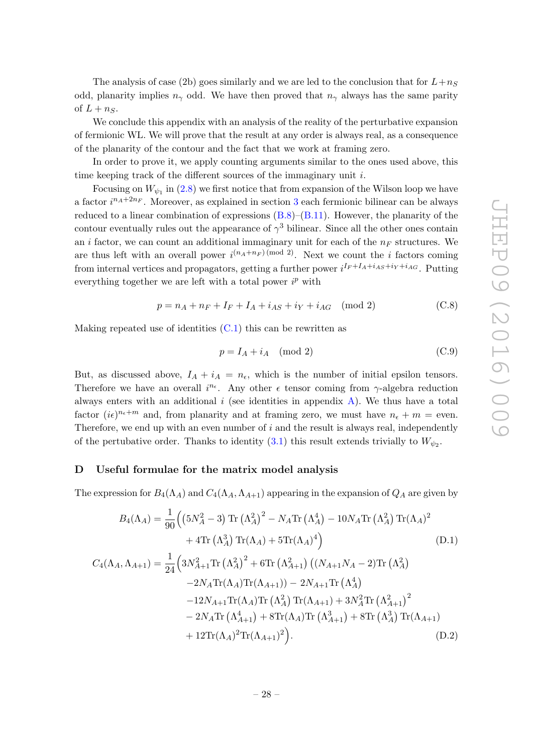The analysis of case (2b) goes similarly and we are led to the conclusion that for  $L+n_S$ odd, planarity implies  $n_{\gamma}$  odd. We have then proved that  $n_{\gamma}$  always has the same parity of  $L + n<sub>S</sub>$ .

We conclude this appendix with an analysis of the reality of the perturbative expansion of fermionic WL. We will prove that the result at any order is always real, as a consequence of the planarity of the contour and the fact that we work at framing zero.

In order to prove it, we apply counting arguments similar to the ones used above, this time keeping track of the different sources of the immaginary unit i.

Focusing on  $W_{\psi_1}$  in [\(2.8\)](#page-5-3) we first notice that from expansion of the Wilson loop we have a factor  $i^{n_A+2n_F}$ . Moreover, as explained in section [3](#page-7-0) each fermionic bilinear can be always reduced to a linear combination of expressions  $(B.8)$ – $(B.11)$ . However, the planarity of the contour eventually rules out the appearance of  $\gamma^3$  bilinear. Since all the other ones contain an i factor, we can count an additional immaginary unit for each of the  $n_F$  structures. We are thus left with an overall power  $i^{(n_A+n_F)(\text{mod }2)}$ . Next we count the *i* factors coming from internal vertices and propagators, getting a further power  $i^{I_F+I_A+i_{AS}+i_Y+i_{AG}}$ . Putting everything together we are left with a total power  $i^p$  with

$$
p = n_A + n_F + I_F + I_A + i_{AS} + i_Y + i_{AG} \pmod{2}
$$
 (C.8)

Making repeated use of identities  $(C.1)$  this can be rewritten as

$$
p = I_A + i_A \pmod{2} \tag{C.9}
$$

But, as discussed above,  $I_A + i_A = n_{\epsilon}$ , which is the number of initial epsilon tensors. Therefore we have an overall  $i^{n_{\epsilon}}$ . Any other  $\epsilon$  tensor coming from  $\gamma$ -algebra reduction always enters with an additional  $i$  (see identities in appendix  $A$ ). We thus have a total factor  $(i\epsilon)^{n_{\epsilon}+m}$  and, from planarity and at framing zero, we must have  $n_{\epsilon}+m$  = even. Therefore, we end up with an even number of  $i$  and the result is always real, independently of the pertubative order. Thanks to identity  $(3.1)$  this result extends trivially to  $W_{\psi_2}$ .

#### <span id="page-28-0"></span>D Useful formulae for the matrix model analysis

The expression for  $B_4(\Lambda_A)$  and  $C_4(\Lambda_A, \Lambda_{A+1})$  appearing in the expansion of  $Q_A$  are given by

$$
B_{4}(\Lambda_{A}) = \frac{1}{90} \Big( \left(5N_{A}^{2} - 3\right) \text{Tr}\left(\Lambda_{A}^{2}\right)^{2} - N_{A} \text{Tr}\left(\Lambda_{A}^{4}\right) - 10N_{A} \text{Tr}\left(\Lambda_{A}^{2}\right) \text{Tr}(\Lambda_{A})^{2} + 4 \text{Tr}\left(\Lambda_{A}^{3}\right) \text{Tr}(\Lambda_{A}) + 5 \text{Tr}(\Lambda_{A})^{4} \Big) \tag{D.1}
$$
\n
$$
C_{4}(\Lambda_{A}, \Lambda_{A+1}) = \frac{1}{24} \Big( 3N_{A+1}^{2} \text{Tr}\left(\Lambda_{A}^{2}\right)^{2} + 6 \text{Tr}\left(\Lambda_{A+1}^{2}\right) \left( (N_{A+1}N_{A} - 2) \text{Tr}\left(\Lambda_{A}^{2}\right) - 2N_{A} \text{Tr}(\Lambda_{A}) \text{Tr}(\Lambda_{A+1}) \right) - 2N_{A+1} \text{Tr}\left(\Lambda_{A}^{4}\right) - 12N_{A+1} \text{Tr}(\Lambda_{A}) \text{Tr}\left(\Lambda_{A+1}^{2}\right) + 3N_{A}^{2} \text{Tr}\left(\Lambda_{A+1}^{2}\right)^{2} - 2N_{A} \text{Tr}\left(\Lambda_{A+1}^{4}\right) + 8 \text{Tr}(\Lambda_{A}) \text{Tr}\left(\Lambda_{A+1}^{3}\right) + 8 \text{Tr}\left(\Lambda_{A}^{3}\right) \text{Tr}(\Lambda_{A+1}) + 12 \text{Tr}(\Lambda_{A})^{2} \text{Tr}(\Lambda_{A+1})^{2} \Big). \tag{D.2}
$$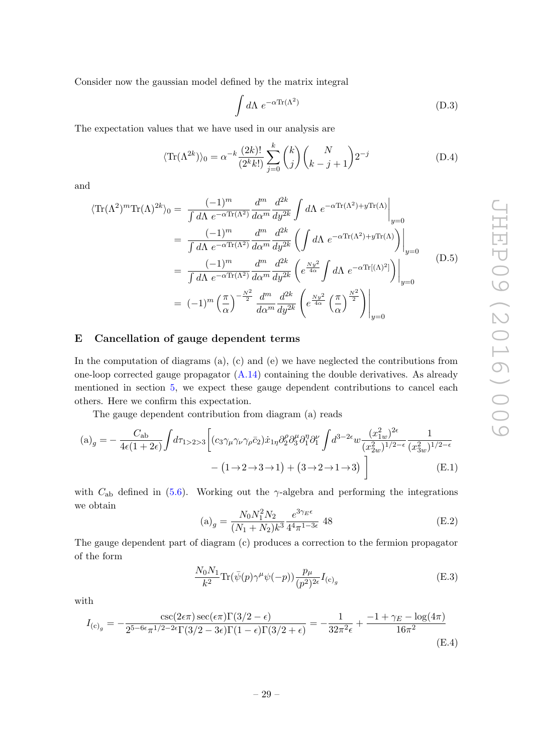Consider now the gaussian model defined by the matrix integral

$$
\int d\Lambda \ e^{-\alpha \text{Tr}(\Lambda^2)} \tag{D.3}
$$

The expectation values that we have used in our analysis are

$$
\langle \text{Tr}(\Lambda^{2k}) \rangle_0 = \alpha^{-k} \frac{(2k)!}{(2^k k!)} \sum_{j=0}^k \binom{k}{j} \binom{N}{k-j+1} 2^{-j}
$$
(D.4)

and

$$
\langle \text{Tr}(\Lambda^2)^m \text{Tr}(\Lambda)^{2k} \rangle_0 = \frac{(-1)^m}{\int d\Lambda \ e^{-\alpha \text{Tr}(\Lambda^2)} \frac{d^m}{d\alpha^m} \frac{d^{2k}}{dy^{2k}} \int d\Lambda \ e^{-\alpha \text{Tr}(\Lambda^2) + y \text{Tr}(\Lambda)} \Big|_{y=0}
$$
  
\n
$$
= \frac{(-1)^m}{\int d\Lambda \ e^{-\alpha \text{Tr}(\Lambda^2)} \frac{d^m}{d\alpha^m} \frac{d^{2k}}{dy^{2k}} \left( \int d\Lambda \ e^{-\alpha \text{Tr}(\Lambda^2) + y \text{Tr}(\Lambda)} \right) \Big|_{y=0}
$$
  
\n
$$
= \frac{(-1)^m}{\int d\Lambda \ e^{-\alpha \text{Tr}(\Lambda^2)} \frac{d^m}{d\alpha^m} \frac{d^{2k}}{dy^{2k}} \left( e^{\frac{Ny^2}{4\alpha}} \int d\Lambda \ e^{-\alpha \text{Tr}[(\Lambda)^2]} \right) \Big|_{y=0}
$$
  
\n
$$
= (-1)^m \left( \frac{\pi}{\alpha} \right)^{-\frac{N^2}{2}} \frac{d^m}{d\alpha^m} \frac{d^{2k}}{dy^{2k}} \left( e^{\frac{Ny^2}{4\alpha}} \left( \frac{\pi}{\alpha} \right)^{\frac{N^2}{2}} \right) \Big|_{y=0}
$$
  
\n(D.5)

## <span id="page-29-0"></span>E Cancellation of gauge dependent terms

In the computation of diagrams (a), (c) and (e) we have neglected the contributions from one-loop corrected gauge propagator  $(A.14)$  containing the double derivatives. As already mentioned in section [5,](#page-14-0) we expect these gauge dependent contributions to cancel each others. Here we confirm this expectation.

The gauge dependent contribution from diagram (a) reads

$$
(a)_{g} = -\frac{C_{ab}}{4\epsilon(1+2\epsilon)} \int d\tau_{1>2>3} \left[ (c_{3}\gamma_{\mu}\gamma_{\nu}\gamma_{\rho}\bar{c}_{2})\dot{x}_{1\eta} \partial_{2}^{\rho}\partial_{3}^{\mu}\partial_{1}^{\eta}\partial_{1}^{\nu} \int d^{3-2\epsilon}w \frac{(x_{1w}^{2})^{2\epsilon}}{(x_{2w}^{2})^{1/2-\epsilon}} \frac{1}{(x_{3w}^{2})^{1/2-\epsilon}} - (1 \to 2 \to 3 \to 1) + (3 \to 2 \to 1 \to 3) \right]
$$
(E.1)

with  $C_{ab}$  defined in [\(5.6\)](#page-16-1). Working out the  $\gamma$ -algebra and performing the integrations we obtain

<span id="page-29-1"></span>
$$
(a)_g = \frac{N_0 N_1^2 N_2}{(N_1 + N_2)k^3} \frac{e^{3\gamma_E \epsilon}}{4^4 \pi^{1 - 3\epsilon}} 48
$$
 (E.2)

The gauge dependent part of diagram (c) produces a correction to the fermion propagator of the form

$$
\frac{N_0 N_1}{k^2} \text{Tr}(\bar{\psi}(p)\gamma^{\mu}\psi(-p)) \frac{p_{\mu}}{(p^2)^{2\epsilon}} I_{(c)_g}
$$
 (E.3)

with

$$
I_{(\text{c})_g} = -\frac{\csc(2\epsilon\pi)\sec(\epsilon\pi)\Gamma(3/2 - \epsilon)}{2^{5-6\epsilon}\pi^{1/2 - 2\epsilon}\Gamma(3/2 - 3\epsilon)\Gamma(1 - \epsilon)\Gamma(3/2 + \epsilon)} = -\frac{1}{32\pi^2\epsilon} + \frac{-1 + \gamma_E - \log(4\pi)}{16\pi^2}
$$
(E.4)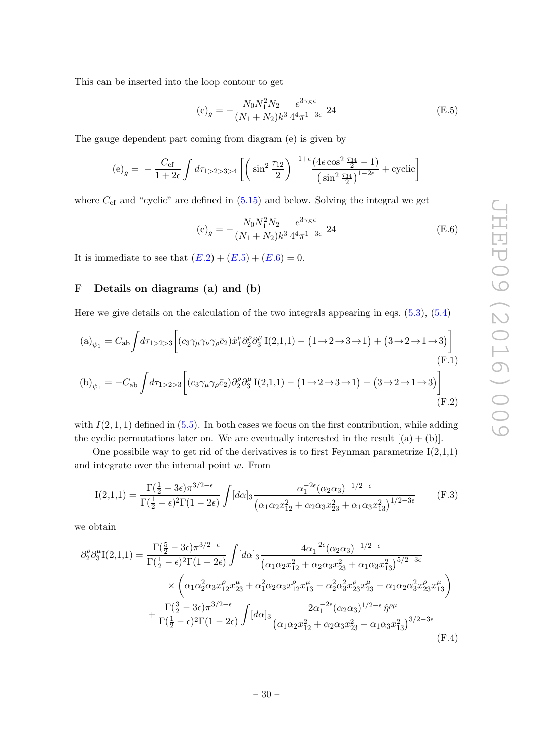This can be inserted into the loop contour to get

<span id="page-30-1"></span>
$$
\text{(c)}_g = -\frac{N_0 N_1^2 N_2}{(N_1 + N_2)k^3} \frac{e^{3\gamma_E \epsilon}}{4^4 \pi^{1 - 3\epsilon}} \ 24 \tag{E.5}
$$

The gauge dependent part coming from diagram (e) is given by

$$
\text{(e)}_g = -\frac{C_{\text{ef}}}{1+2\epsilon} \int d\tau_{1>2>3>4} \left[ \left( \sin^2 \frac{\tau_{12}}{2} \right)^{-1+\epsilon} \frac{\left( 4\epsilon \cos^2 \frac{\tau_{34}}{2} - 1 \right)}{\left( \sin^2 \frac{\tau_{34}}{2} \right)^{1-2\epsilon}} + \text{cyclic} \right]
$$

where  $C_{\text{ef}}$  and "cyclic" are defined in  $(5.15)$  and below. Solving the integral we get

<span id="page-30-5"></span><span id="page-30-4"></span><span id="page-30-2"></span>
$$
\text{(e)}_g = -\frac{N_0 N_1^2 N_2}{(N_1 + N_2)k^3} \frac{e^{3\gamma_E \epsilon}}{4^4 \pi^{1 - 3\epsilon}} \ 24 \tag{E.6}
$$

It is immediate to see that  $(E.2) + (E.5) + (E.6) = 0$  $(E.2) + (E.5) + (E.6) = 0$  $(E.2) + (E.5) + (E.6) = 0$ .

## <span id="page-30-0"></span>F Details on diagrams (a) and (b)

Here we give details on the calculation of the two integrals appearing in eqs. [\(5.3\)](#page-15-1), [\(5.4\)](#page-15-2)

$$
(a)_{\psi_1} = C_{ab} \int d\tau_{1>2>3} \left[ (c_3 \gamma_\mu \gamma_\nu \gamma_\rho \bar{c}_2) \dot{x}_1^\nu \partial_2^\rho \partial_3^\mu I(2,1,1) - (1 \to 2 \to 3 \to 1) + (3 \to 2 \to 1 \to 3) \right]
$$
\n(F.1)

$$
\text{(b)}_{\psi_1} = -C_{\text{ab}} \int d\tau_{1>2>3} \left[ \left( c_3 \gamma_\mu \gamma_\rho \bar{c}_2 \right) \partial_2^{\rho} \partial_3^{\mu} I(2,1,1) - \left( 1 \rightarrow 2 \rightarrow 3 \rightarrow 1 \right) + \left( 3 \rightarrow 2 \rightarrow 1 \rightarrow 3 \right) \right] \tag{F.2}
$$

with  $I(2, 1, 1)$  defined in  $(5.5)$ . In both cases we focus on the first contribution, while adding the cyclic permutations later on. We are eventually interested in the result  $[(a) + (b)]$ .

One possibile way to get rid of the derivatives is to first Feynman parametrize  $I(2,1,1)$ and integrate over the internal point  $w$ . From

$$
I(2,1,1) = \frac{\Gamma(\frac{1}{2} - 3\epsilon)\pi^{3/2 - \epsilon}}{\Gamma(\frac{1}{2} - \epsilon)^2 \Gamma(1 - 2\epsilon)} \int [d\alpha]_3 \frac{\alpha_1^{-2\epsilon} (\alpha_2 \alpha_3)^{-1/2 - \epsilon}}{(\alpha_1 \alpha_2 x_{12}^2 + \alpha_2 \alpha_3 x_{23}^2 + \alpha_1 \alpha_3 x_{13}^2)^{1/2 - 3\epsilon}}
$$
(F.3)

we obtain

<span id="page-30-3"></span>
$$
\partial_{2}^{\rho} \partial_{3}^{\mu} I(2,1,1) = \frac{\Gamma(\frac{5}{2} - 3\epsilon)\pi^{3/2 - \epsilon}}{\Gamma(\frac{1}{2} - \epsilon)^{2}\Gamma(1 - 2\epsilon)} \int [d\alpha]_{3} \frac{4\alpha_{1}^{-2\epsilon}(\alpha_{2}\alpha_{3})^{-1/2 - \epsilon}}{(\alpha_{1}\alpha_{2}x_{12}^{2} + \alpha_{2}\alpha_{3}x_{23}^{2} + \alpha_{1}\alpha_{3}x_{13}^{2})^{5/2 - 3\epsilon}} \times \left(\alpha_{1}\alpha_{2}^{2}\alpha_{3}x_{12}^{\rho}x_{23}^{\mu} + \alpha_{1}^{2}\alpha_{2}\alpha_{3}x_{12}^{\rho}x_{13}^{\mu} - \alpha_{2}^{2}\alpha_{3}^{2}x_{23}^{\rho}x_{23}^{\mu} - \alpha_{1}\alpha_{2}\alpha_{3}^{2}x_{23}^{\rho}x_{13}^{\mu}\right) + \frac{\Gamma(\frac{3}{2} - 3\epsilon)\pi^{3/2 - \epsilon}}{\Gamma(\frac{1}{2} - \epsilon)^{2}\Gamma(1 - 2\epsilon)} \int [d\alpha]_{3} \frac{2\alpha_{1}^{-2\epsilon}(\alpha_{2}\alpha_{3})^{1/2 - \epsilon}\hat{\eta}^{\rho\mu}}{(\alpha_{1}\alpha_{2}x_{12}^{2} + \alpha_{2}\alpha_{3}x_{23}^{2} + \alpha_{1}\alpha_{3}x_{13}^{2})^{3/2 - 3\epsilon}} (F.4)
$$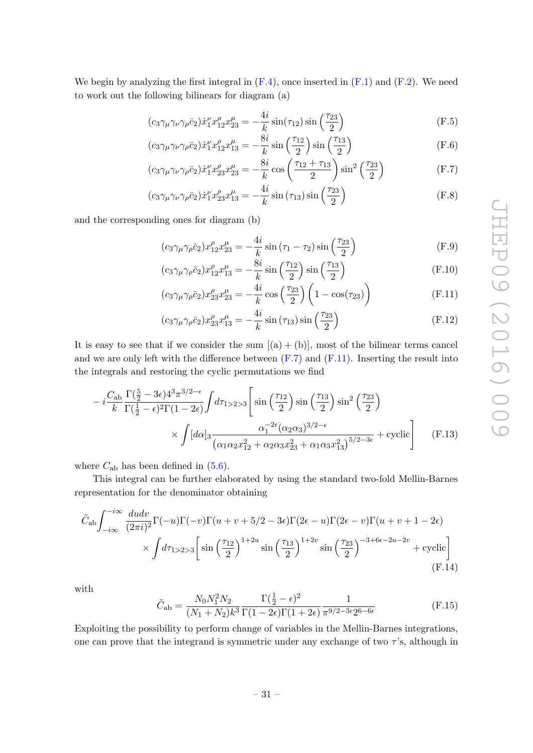We begin by analyzing the first integral in  $(F.4)$ , once inserted in  $(F.1)$  and  $(F.2)$ . We need to work out the following bilinears for diagram (a)

$$
(c_3\gamma_\mu\gamma_\nu\gamma_\rho\bar{c}_2)\dot{x}_1^\nu x_{12}^\rho x_{23}^\mu = -\frac{4i}{k}\sin(\tau_{12})\sin\left(\frac{\tau_{23}}{2}\right) \tag{F.5}
$$

$$
(c_3\gamma_\mu\gamma_\nu\gamma_\rho\bar{c}_2)\dot{x}_1^\nu x_{12}^\rho x_{13}^\mu = -\frac{8i}{k}\sin\left(\frac{\tau_{12}}{2}\right)\sin\left(\frac{\tau_{13}}{2}\right) \tag{F.6}
$$

$$
(c_3\gamma_\mu\gamma_\nu\gamma_\rho\bar{c}_2)\dot{x}_1^\nu x_{23}^\rho x_{23}^\mu = -\frac{8i}{k}\cos\left(\frac{\tau_{12}+\tau_{13}}{2}\right)\sin^2\left(\frac{\tau_{23}}{2}\right) \tag{F.7}
$$

$$
(c_3\gamma_\mu\gamma_\nu\gamma_\rho\bar{c}_2)\dot{x}_1^\nu x_{23}^\rho x_{13}^\mu = -\frac{4i}{k}\sin(\tau_{13})\sin\left(\frac{\tau_{23}}{2}\right) \tag{F.8}
$$

and the corresponding ones for diagram (b)

<span id="page-31-0"></span>
$$
(c_3\gamma_\mu\gamma_\rho\bar{c}_2)x_{12}^\rho x_{23}^\mu = -\frac{4i}{k}\sin\left(\tau_1 - \tau_2\right)\sin\left(\frac{\tau_{23}}{2}\right) \tag{F.9}
$$

$$
(c_3\gamma_\mu\gamma_\rho\bar{c}_2)x_{12}^\mu x_{13}^\mu = -\frac{8i}{k}\sin\left(\frac{\tau_{12}}{2}\right)\sin\left(\frac{\tau_{13}}{2}\right) \tag{F.10}
$$

<span id="page-31-1"></span>
$$
(c_3\gamma_\mu\gamma_\rho\bar{c}_2)x_{23}^\rho x_{23}^\mu = -\frac{4i}{k}\cos\left(\frac{\tau_{23}}{2}\right)\left(1-\cos(\tau_{23})\right) \tag{F.11}
$$

$$
(c_3\gamma_\mu\gamma_\rho\bar{c}_2)x_{23}^\rho x_{13}^\mu = -\frac{4i}{k}\sin\left(\tau_{13}\right)\sin\left(\frac{\tau_{23}}{2}\right) \tag{F.12}
$$

It is easy to see that if we consider the sum  $[(a) + (b)]$ , most of the bilinear terms cancel and we are only left with the difference between  $(F.7)$  and  $(F.11)$ . Inserting the result into the integrals and restoring the cyclic permutations we find

$$
-i\frac{C_{\rm ab}}{k}\frac{\Gamma(\frac{5}{2}-3\epsilon)4^{3}\pi^{3/2-\epsilon}}{\Gamma(\frac{1}{2}-\epsilon)^{2}\Gamma(1-2\epsilon)}\int d\tau_{1>2>3}\left[\sin\left(\frac{\tau_{12}}{2}\right)\sin\left(\frac{\tau_{13}}{2}\right)\sin^{2}\left(\frac{\tau_{23}}{2}\right)\right] \times \int [d\alpha]_{3}\frac{\alpha_{1}^{-2\epsilon}(\alpha_{2}\alpha_{3})^{3/2-\epsilon}}{(\alpha_{1}\alpha_{2}x_{12}^{2}+\alpha_{2}\alpha_{3}x_{23}^{2}+\alpha_{1}\alpha_{3}x_{13}^{2})^{5/2-3\epsilon}} + \text{cyclic}\right]
$$
(F.13)

where  $C_{ab}$  has been defined in  $(5.6)$ .

This integral can be further elaborated by using the standard two-fold Mellin-Barnes representation for the denominator obtaining

$$
\tilde{C}_{ab} \int_{-i\infty}^{-i\infty} \frac{du dv}{(2\pi i)^2} \Gamma(-u)\Gamma(-v)\Gamma(u+v+5/2-3\epsilon)\Gamma(2\epsilon-u)\Gamma(2\epsilon-v)\Gamma(u+v+1-2\epsilon)
$$
  
 
$$
\times \int d\tau_{1>2>3} \left[ \sin\left(\frac{\tau_{12}}{2}\right)^{1+2u} \sin\left(\frac{\tau_{13}}{2}\right)^{1+2v} \sin\left(\frac{\tau_{23}}{2}\right)^{-3+6\epsilon-2u-2v} + \text{cyclic} \right]
$$
\n(F.14)

with

<span id="page-31-2"></span>
$$
\tilde{C}_{ab} = \frac{N_0 N_1^2 N_2}{(N_1 + N_2)k^3} \frac{\Gamma(\frac{1}{2} - \epsilon)^2}{\Gamma(1 - 2\epsilon)\Gamma(1 + 2\epsilon)} \frac{1}{\pi^{9/2 - 3\epsilon} 2^{6 - 6\epsilon}}
$$
(F.15)

Exploiting the possibility to perform change of variables in the Mellin-Barnes integrations, one can prove that the integrand is symmetric under any exchange of two  $\tau$ 's, although in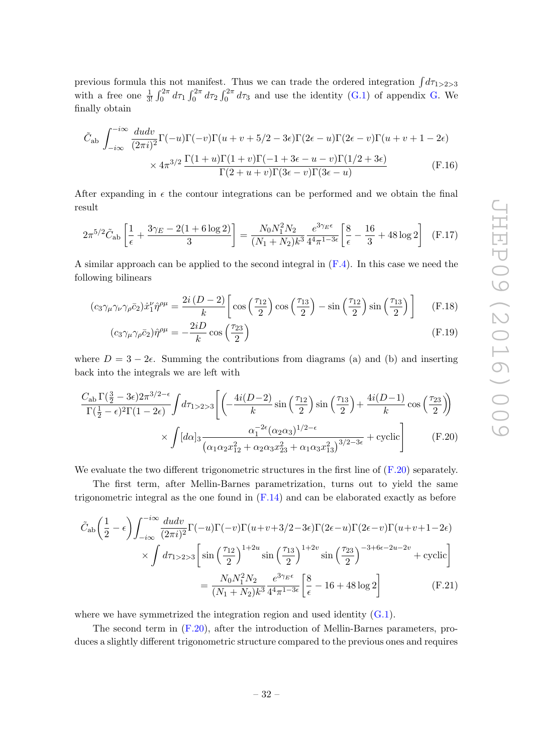previous formula this not manifest. Thus we can trade the ordered integration  $\int d\tau_{1>2>3}$ with a free one  $\frac{1}{3!} \int_0^{2\pi} d\tau_1 \int_0^{2\pi} d\tau_2 \int_0^{2\pi} d\tau_3$  and use the identity [\(G.1\)](#page-33-1) of appendix [G.](#page-33-0) We finally obtain

$$
\tilde{C}_{ab} \int_{-i\infty}^{-i\infty} \frac{du dv}{(2\pi i)^2} \Gamma(-u)\Gamma(-v)\Gamma(u+v+5/2-3\epsilon)\Gamma(2\epsilon-u)\Gamma(2\epsilon-v)\Gamma(u+v+1-2\epsilon) \times 4\pi^{3/2} \frac{\Gamma(1+u)\Gamma(1+v)\Gamma(-1+3\epsilon-u-v)\Gamma(1/2+3\epsilon)}{\Gamma(2+u+v)\Gamma(3\epsilon-v)\Gamma(3\epsilon-u)}
$$
(F.16)

After expanding in  $\epsilon$  the contour integrations can be performed and we obtain the final result

$$
2\pi^{5/2}\tilde{C}_{ab}\left[\frac{1}{\epsilon} + \frac{3\gamma_E - 2(1 + 6\log 2)}{3}\right] = \frac{N_0 N_1^2 N_2}{(N_1 + N_2)k^3} \frac{e^{3\gamma_E \epsilon}}{4^4 \pi^{1 - 3\epsilon}} \left[\frac{8}{\epsilon} - \frac{16}{3} + 48\log 2\right] \tag{F.17}
$$

A similar approach can be applied to the second integral in  $(F.4)$ . In this case we need the following bilinears

$$
(c_3\gamma_\mu\gamma_\nu\gamma_\rho\bar{c}_2)\dot{x}_1^\nu\hat{\eta}^{\rho\mu} = \frac{2i(D-2)}{k}\left[\cos\left(\frac{\tau_{12}}{2}\right)\cos\left(\frac{\tau_{13}}{2}\right) - \sin\left(\frac{\tau_{12}}{2}\right)\sin\left(\frac{\tau_{13}}{2}\right)\right] \tag{F.18}
$$

<span id="page-32-1"></span><span id="page-32-0"></span>
$$
(c_3\gamma_\mu\gamma_\rho\bar{c}_2)\hat{\eta}^{\rho\mu} = -\frac{2iD}{k}\cos\left(\frac{\tau_{23}}{2}\right) \tag{F.19}
$$

where  $D = 3 - 2\epsilon$ . Summing the contributions from diagrams (a) and (b) and inserting back into the integrals we are left with

$$
\frac{C_{\rm ab}\,\Gamma(\frac{3}{2}-3\epsilon)2\pi^{3/2-\epsilon}}{\Gamma(\frac{1}{2}-\epsilon)^2\Gamma(1-2\epsilon)}\int d\tau_{1>2>3}\left[\left(-\frac{4i(D-2)}{k}\sin\left(\frac{\tau_{12}}{2}\right)\sin\left(\frac{\tau_{13}}{2}\right)+\frac{4i(D-1)}{k}\cos\left(\frac{\tau_{23}}{2}\right)\right)\right] \times \int [d\alpha]_3 \frac{\alpha_1^{-2\epsilon}(\alpha_2\alpha_3)^{1/2-\epsilon}}{(\alpha_1\alpha_2x_{12}^2+\alpha_2\alpha_3x_{23}^2+\alpha_1\alpha_3x_{13}^2)^{3/2-3\epsilon}} + \text{cyclic}\right]
$$
(F.20)

We evaluate the two different trigonometric structures in the first line of  $(F.20)$  separately.

The first term, after Mellin-Barnes parametrization, turns out to yield the same trigonometric integral as the one found in  $(F.14)$  and can be elaborated exactly as before

<span id="page-32-2"></span>
$$
\tilde{C}_{ab} \left( \frac{1}{2} - \epsilon \right) \int_{-i\infty}^{-i\infty} \frac{du dv}{(2\pi i)^2} \Gamma(-u) \Gamma(-v) \Gamma(u+v+3/2-3\epsilon) \Gamma(2\epsilon-u) \Gamma(2\epsilon-v) \Gamma(u+v+1-2\epsilon)
$$
\n
$$
\times \int d\tau_{1>2>3} \left[ \sin\left(\frac{\tau_{12}}{2}\right)^{1+2u} \sin\left(\frac{\tau_{13}}{2}\right)^{1+2v} \sin\left(\frac{\tau_{23}}{2}\right)^{-3+6\epsilon-2u-2v} + \text{cyclic} \right]
$$
\n
$$
= \frac{N_0 N_1^2 N_2}{(N_1 + N_2)k^3} \frac{e^{3\gamma_E \epsilon}}{4^4 \pi^{1-3\epsilon}} \left[ \frac{8}{\epsilon} - 16 + 48 \log 2 \right] \tag{F.21}
$$

where we have symmetrized the integration region and used identity  $(G.1)$ .

The second term in [\(F.20\)](#page-32-0), after the introduction of Mellin-Barnes parameters, produces a slightly different trigonometric structure compared to the previous ones and requires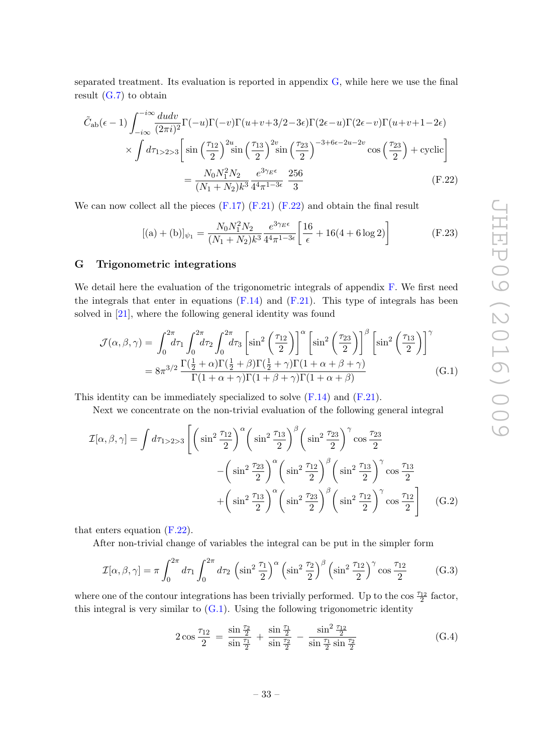separated treatment. Its evaluation is reported in appendix  $G$ , while here we use the final result  $(G.7)$  to obtain

$$
\tilde{C}_{ab}(\epsilon - 1) \int_{-i\infty}^{-i\infty} \frac{du dv}{(2\pi i)^2} \Gamma(-u)\Gamma(-v)\Gamma(u+v+3/2-3\epsilon)\Gamma(2\epsilon-u)\Gamma(2\epsilon-v)\Gamma(u+v+1-2\epsilon) \n\times \int d\tau_{1>2>3} \left[ \sin\left(\frac{\tau_{12}}{2}\right)^{2u} \sin\left(\frac{\tau_{13}}{2}\right)^{2v} \sin\left(\frac{\tau_{23}}{2}\right)^{-3+6\epsilon-2u-2v} \cos\left(\frac{\tau_{23}}{2}\right) + \text{cyclic} \right] \n= \frac{N_0 N_1^2 N_2}{(N_1 + N_2)k^3} \frac{e^{3\gamma_E \epsilon}}{4^4 \pi^{1-3\epsilon}} \frac{256}{3}
$$
\n(F.22)

We can now collect all the pieces  $(F.17)$   $(F.21)$   $(F.22)$  and obtain the final result

<span id="page-33-2"></span><span id="page-33-1"></span>
$$
[(a) + (b)]_{\psi_1} = \frac{N_0 N_1^2 N_2}{(N_1 + N_2)k^3} \frac{e^{3\gamma_E \epsilon}}{4^4 \pi^{1 - 3\epsilon}} \left[ \frac{16}{\epsilon} + 16(4 + 6\log 2) \right]
$$
(F.23)

## <span id="page-33-0"></span>G Trigonometric integrations

We detail here the evaluation of the trigonometric integrals of appendix [F.](#page-30-0) We first need the integrals that enter in equations  $(F.14)$  and  $(F.21)$ . This type of integrals has been solved in [\[21\]](#page-35-17), where the following general identity was found

$$
\mathcal{J}(\alpha,\beta,\gamma) = \int_0^{2\pi} d\tau_1 \int_0^{2\pi} d\tau_2 \int_0^{2\pi} d\tau_3 \left[ \sin^2 \left( \frac{\tau_{12}}{2} \right) \right]^\alpha \left[ \sin^2 \left( \frac{\tau_{23}}{2} \right) \right]^\beta \left[ \sin^2 \left( \frac{\tau_{13}}{2} \right) \right]^\gamma
$$
  
=  $8\pi^{3/2} \frac{\Gamma(\frac{1}{2} + \alpha)\Gamma(\frac{1}{2} + \beta)\Gamma(\frac{1}{2} + \gamma)\Gamma(1 + \alpha + \beta + \gamma)}{\Gamma(1 + \alpha + \gamma)\Gamma(1 + \beta + \gamma)\Gamma(1 + \alpha + \beta)}$  (G.1)

This identity can be immediately specialized to solve [\(F.14\)](#page-31-2) and [\(F.21\)](#page-32-2).

Next we concentrate on the non-trivial evaluation of the following general integral

$$
\mathcal{I}[\alpha,\beta,\gamma] = \int d\tau_{1>2>3} \left[ \left( \sin^2 \frac{\tau_{12}}{2} \right)^\alpha \left( \sin^2 \frac{\tau_{13}}{2} \right)^\beta \left( \sin^2 \frac{\tau_{23}}{2} \right)^\gamma \cos \frac{\tau_{23}}{2} \right. \left. - \left( \sin^2 \frac{\tau_{23}}{2} \right)^\alpha \left( \sin^2 \frac{\tau_{12}}{2} \right)^\beta \left( \sin^2 \frac{\tau_{13}}{2} \right)^\gamma \cos \frac{\tau_{13}}{2} \right. \left. + \left( \sin^2 \frac{\tau_{13}}{2} \right)^\alpha \left( \sin^2 \frac{\tau_{23}}{2} \right)^\beta \left( \sin^2 \frac{\tau_{12}}{2} \right)^\gamma \cos \frac{\tau_{12}}{2} \right] \tag{G.2}
$$

that enters equation [\(F.22\)](#page-33-2).

After non-trivial change of variables the integral can be put in the simpler form

$$
\mathcal{I}[\alpha,\beta,\gamma] = \pi \int_0^{2\pi} d\tau_1 \int_0^{2\pi} d\tau_2 \left(\sin^2 \frac{\tau_1}{2}\right)^\alpha \left(\sin^2 \frac{\tau_2}{2}\right)^\beta \left(\sin^2 \frac{\tau_{12}}{2}\right)^\gamma \cos \frac{\tau_{12}}{2} \tag{G.3}
$$

where one of the contour integrations has been trivially performed. Up to the cos  $\frac{\tau_{12}}{2}$  factor, this integral is very similar to  $(G.1)$ . Using the following trigonometric identity

$$
2\cos\frac{\tau_{12}}{2} = \frac{\sin\frac{\tau_2}{2}}{\sin\frac{\tau_1}{2}} + \frac{\sin\frac{\tau_1}{2}}{\sin\frac{\tau_2}{2}} - \frac{\sin^2\frac{\tau_{12}}{2}}{\sin\frac{\tau_1}{2}\sin\frac{\tau_2}{2}}\tag{G.4}
$$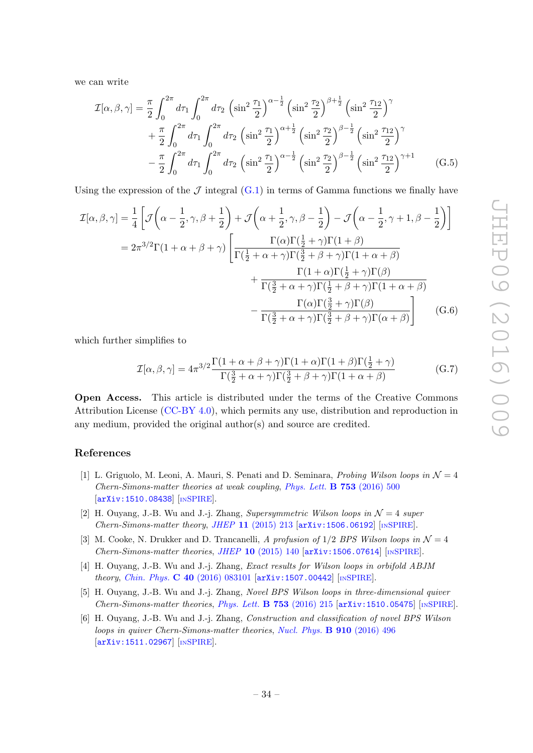we can write

$$
\mathcal{I}[\alpha,\beta,\gamma] = \frac{\pi}{2} \int_0^{2\pi} d\tau_1 \int_0^{2\pi} d\tau_2 \left(\sin^2 \frac{\tau_1}{2}\right)^{\alpha-\frac{1}{2}} \left(\sin^2 \frac{\tau_2}{2}\right)^{\beta+\frac{1}{2}} \left(\sin^2 \frac{\tau_{12}}{2}\right)^{\gamma} \n+ \frac{\pi}{2} \int_0^{2\pi} d\tau_1 \int_0^{2\pi} d\tau_2 \left(\sin^2 \frac{\tau_1}{2}\right)^{\alpha+\frac{1}{2}} \left(\sin^2 \frac{\tau_2}{2}\right)^{\beta-\frac{1}{2}} \left(\sin^2 \frac{\tau_{12}}{2}\right)^{\gamma} \n- \frac{\pi}{2} \int_0^{2\pi} d\tau_1 \int_0^{2\pi} d\tau_2 \left(\sin^2 \frac{\tau_1}{2}\right)^{\alpha-\frac{1}{2}} \left(\sin^2 \frac{\tau_2}{2}\right)^{\beta-\frac{1}{2}} \left(\sin^2 \frac{\tau_{12}}{2}\right)^{\gamma+1} \qquad (G.5)
$$

Using the expression of the  $\mathcal J$  integral [\(G.1\)](#page-33-1) in terms of Gamma functions we finally have

$$
\mathcal{I}[\alpha,\beta,\gamma] = \frac{1}{4} \left[ \mathcal{J}\left(\alpha - \frac{1}{2},\gamma,\beta + \frac{1}{2}\right) + \mathcal{J}\left(\alpha + \frac{1}{2},\gamma,\beta - \frac{1}{2}\right) - \mathcal{J}\left(\alpha - \frac{1}{2},\gamma + 1,\beta - \frac{1}{2}\right) \right]
$$

$$
= 2\pi^{3/2}\Gamma(1 + \alpha + \beta + \gamma) \left[ \frac{\Gamma(\alpha)\Gamma(\frac{1}{2} + \gamma)\Gamma(1 + \beta)}{\Gamma(\frac{1}{2} + \alpha + \gamma)\Gamma(\frac{3}{2} + \beta + \gamma)\Gamma(1 + \alpha + \beta)} + \frac{\Gamma(1 + \alpha)\Gamma(\frac{1}{2} + \gamma)\Gamma(\beta)}{\Gamma(\frac{3}{2} + \alpha + \gamma)\Gamma(\frac{1}{2} + \beta + \gamma)\Gamma(1 + \alpha + \beta)} - \frac{\Gamma(\alpha)\Gamma(\frac{3}{2} + \gamma)\Gamma(\beta)}{\Gamma(\frac{3}{2} + \alpha + \gamma)\Gamma(\frac{3}{2} + \beta + \gamma)\Gamma(\alpha + \beta)} \right] (G.6)
$$

which further simplifies to

<span id="page-34-4"></span>
$$
\mathcal{I}[\alpha,\beta,\gamma] = 4\pi^{3/2} \frac{\Gamma(1+\alpha+\beta+\gamma)\Gamma(1+\alpha)\Gamma(1+\beta)\Gamma(\frac{1}{2}+\gamma)}{\Gamma(\frac{3}{2}+\alpha+\gamma)\Gamma(\frac{3}{2}+\beta+\gamma)\Gamma(1+\alpha+\beta)}
$$
(G.7)

Open Access. This article is distributed under the terms of the Creative Commons Attribution License [\(CC-BY 4.0\)](http://creativecommons.org/licenses/by/4.0/), which permits any use, distribution and reproduction in any medium, provided the original author(s) and source are credited.

#### References

- <span id="page-34-0"></span>[1] L. Griguolo, M. Leoni, A. Mauri, S. Penati and D. Seminara, *Probing Wilson loops in*  $\mathcal{N}=4$ Chern-Simons-matter theories at weak coupling, [Phys. Lett.](http://dx.doi.org/10.1016/j.physletb.2015.12.018) B 753 (2016) 500 [[arXiv:1510.08438](http://arxiv.org/abs/1510.08438)] [IN[SPIRE](http://inspirehep.net/search?p=find+EPRINT+arXiv:1510.08438)].
- <span id="page-34-1"></span>[2] H. Ouyang, J.-B. Wu and J.-j. Zhang, Supersymmetric Wilson loops in  $\mathcal{N}=4$  super  $Chern-Simons-matter theory, JHEP 11 (2015) 213 [arXiv:1506.06192] [insPIRE].$  $Chern-Simons-matter theory, JHEP 11 (2015) 213 [arXiv:1506.06192] [insPIRE].$  $Chern-Simons-matter theory, JHEP 11 (2015) 213 [arXiv:1506.06192] [insPIRE].$  $Chern-Simons-matter theory, JHEP 11 (2015) 213 [arXiv:1506.06192] [insPIRE].$  $Chern-Simons-matter theory, JHEP 11 (2015) 213 [arXiv:1506.06192] [insPIRE].$
- <span id="page-34-3"></span>[3] M. Cooke, N. Drukker and D. Trancanelli, A profusion of  $1/2$  BPS Wilson loops in  $\mathcal{N}=4$  $Chern-Simons-matter~theories,~JHEP~{\bf 10}~(2015)~140~[arXiv:1506.07614]~[inSPIRE].$  $Chern-Simons-matter~theories,~JHEP~{\bf 10}~(2015)~140~[arXiv:1506.07614]~[inSPIRE].$  $Chern-Simons-matter~theories,~JHEP~{\bf 10}~(2015)~140~[arXiv:1506.07614]~[inSPIRE].$  $Chern-Simons-matter~theories,~JHEP~{\bf 10}~(2015)~140~[arXiv:1506.07614]~[inSPIRE].$  $Chern-Simons-matter~theories,~JHEP~{\bf 10}~(2015)~140~[arXiv:1506.07614]~[inSPIRE].$
- [4] H. Ouyang, J.-B. Wu and J.-j. Zhang, Exact results for Wilson loops in orbifold ABJM theory, Chin. Phys. C 40 [\(2016\) 083101](http://dx.doi.org/10.1088/1674-1137/40/8/083101) [[arXiv:1507.00442](http://arxiv.org/abs/1507.00442)] [IN[SPIRE](http://inspirehep.net/search?p=find+EPRINT+arXiv:1507.00442)].
- [5] H. Ouyang, J.-B. Wu and J.-j. Zhang, Novel BPS Wilson loops in three-dimensional quiver Chern-Simons-matter theories, [Phys. Lett.](http://dx.doi.org/10.1016/j.physletb.2015.12.021) B 753 (2016) 215  $arXiv:1510.05475$  [IN[SPIRE](http://inspirehep.net/search?p=find+EPRINT+arXiv:1510.05475)].
- <span id="page-34-2"></span>[6] H. Ouyang, J.-B. Wu and J.-j. Zhang, Construction and classification of novel BPS Wilson loops in quiver Chern-Simons-matter theories, [Nucl. Phys.](http://dx.doi.org/10.1016/j.nuclphysb.2016.07.018) B 910 (2016) 496 [[arXiv:1511.02967](http://arxiv.org/abs/1511.02967)] [IN[SPIRE](http://inspirehep.net/search?p=find+EPRINT+arXiv:1511.02967)].